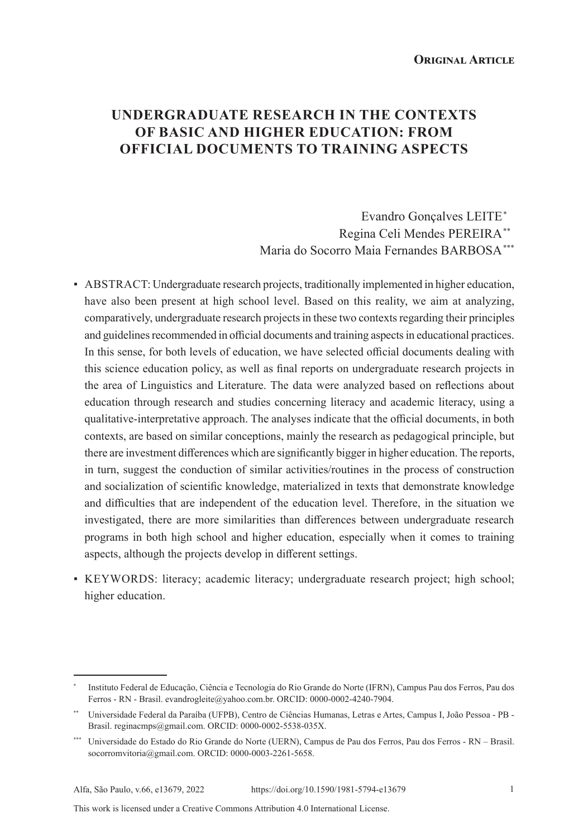# **UNDERGRADUATE RESEARCH IN THE CONTEXTS OF BASIC AND HIGHER EDUCATION: FROM OFFICIAL DOCUMENTS TO TRAINING ASPECTS**

# Evandro Gonçalves LEITE\* Regina Celi Mendes PEREIRA\*\* Maria do Socorro Maia Fernandes BARBOSA\*\*\*

- ABSTRACT: Undergraduate research projects, traditionally implemented in higher education, have also been present at high school level. Based on this reality, we aim at analyzing, comparatively, undergraduate research projects in these two contexts regarding their principles and guidelines recommended in official documents and training aspects in educational practices. In this sense, for both levels of education, we have selected official documents dealing with this science education policy, as well as final reports on undergraduate research projects in the area of Linguistics and Literature. The data were analyzed based on reflections about education through research and studies concerning literacy and academic literacy, using a qualitative-interpretative approach. The analyses indicate that the official documents, in both contexts, are based on similar conceptions, mainly the research as pedagogical principle, but there are investment differences which are significantly bigger in higher education. The reports, in turn, suggest the conduction of similar activities/routines in the process of construction and socialization of scientific knowledge, materialized in texts that demonstrate knowledge and difficulties that are independent of the education level. Therefore, in the situation we investigated, there are more similarities than differences between undergraduate research programs in both high school and higher education, especially when it comes to training aspects, although the projects develop in different settings.
- KEYWORDS: literacy; academic literacy; undergraduate research project; high school; higher education.

<sup>\*</sup> Instituto Federal de Educação, Ciência e Tecnologia do Rio Grande do Norte (IFRN), Campus Pau dos Ferros, Pau dos Ferros - RN - Brasil. evandrogleite@yahoo.com.br. ORCID: 0000-0002-4240-7904.

<sup>\*\*</sup> Universidade Federal da Paraíba (UFPB), Centro de Ciências Humanas, Letras e Artes, Campus I, João Pessoa - PB - Brasil. reginacmps@gmail.com. ORCID: 0000-0002-5538-035X.

<sup>\*\*\*</sup> Universidade do Estado do Rio Grande do Norte (UERN), Campus de Pau dos Ferros, Pau dos Ferros - RN – Brasil. socorromvitoria@gmail.com. ORCID: 0000-0003-2261-5658.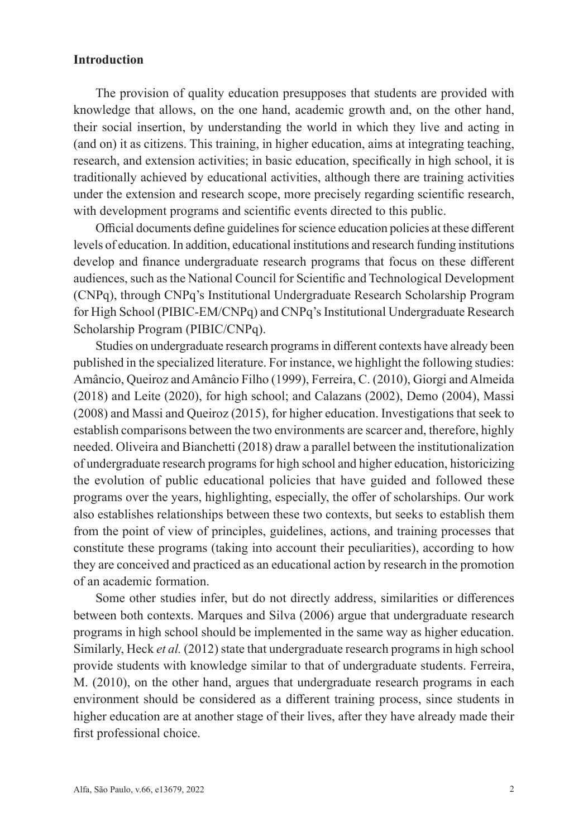# **Introduction**

The provision of quality education presupposes that students are provided with knowledge that allows, on the one hand, academic growth and, on the other hand, their social insertion, by understanding the world in which they live and acting in (and on) it as citizens. This training, in higher education, aims at integrating teaching, research, and extension activities; in basic education, specifically in high school, it is traditionally achieved by educational activities, although there are training activities under the extension and research scope, more precisely regarding scientific research, with development programs and scientific events directed to this public.

Official documents define guidelines for science education policies at these different levels of education. In addition, educational institutions and research funding institutions develop and finance undergraduate research programs that focus on these different audiences, such as the National Council for Scientific and Technological Development (CNPq), through CNPq's Institutional Undergraduate Research Scholarship Program for High School (PIBIC-EM/CNPq) and CNPq's Institutional Undergraduate Research Scholarship Program (PIBIC/CNPq).

Studies on undergraduate research programs in different contexts have already been published in the specialized literature. For instance, we highlight the following studies: Amâncio, Queiroz and Amâncio Filho (1999), Ferreira, C. (2010), Giorgi and Almeida (2018) and Leite (2020), for high school; and Calazans (2002), Demo (2004), Massi (2008) and Massi and Queiroz (2015), for higher education. Investigations that seek to establish comparisons between the two environments are scarcer and, therefore, highly needed. Oliveira and Bianchetti (2018) draw a parallel between the institutionalization of undergraduate research programs for high school and higher education, historicizing the evolution of public educational policies that have guided and followed these programs over the years, highlighting, especially, the offer of scholarships. Our work also establishes relationships between these two contexts, but seeks to establish them from the point of view of principles, guidelines, actions, and training processes that constitute these programs (taking into account their peculiarities), according to how they are conceived and practiced as an educational action by research in the promotion of an academic formation.

Some other studies infer, but do not directly address, similarities or differences between both contexts. Marques and Silva (2006) argue that undergraduate research programs in high school should be implemented in the same way as higher education. Similarly, Heck *et al.* (2012) state that undergraduate research programs in high school provide students with knowledge similar to that of undergraduate students. Ferreira, M. (2010), on the other hand, argues that undergraduate research programs in each environment should be considered as a different training process, since students in higher education are at another stage of their lives, after they have already made their first professional choice.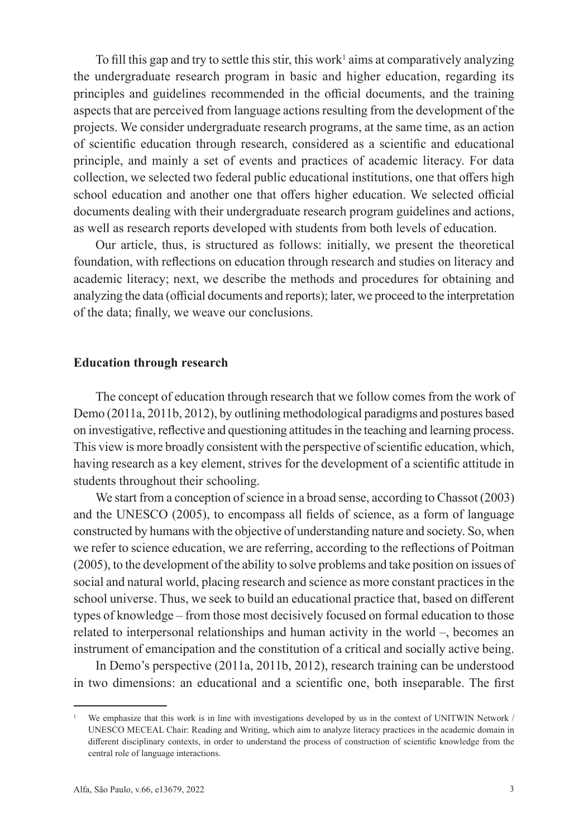To fill this gap and try to settle this stir, this work<sup>1</sup> aims at comparatively analyzing the undergraduate research program in basic and higher education, regarding its principles and guidelines recommended in the official documents, and the training aspects that are perceived from language actions resulting from the development of the projects. We consider undergraduate research programs, at the same time, as an action of scientific education through research, considered as a scientific and educational principle, and mainly a set of events and practices of academic literacy. For data collection, we selected two federal public educational institutions, one that offers high school education and another one that offers higher education. We selected official documents dealing with their undergraduate research program guidelines and actions, as well as research reports developed with students from both levels of education.

Our article, thus, is structured as follows: initially, we present the theoretical foundation, with reflections on education through research and studies on literacy and academic literacy; next, we describe the methods and procedures for obtaining and analyzing the data (official documents and reports); later, we proceed to the interpretation of the data; finally, we weave our conclusions.

#### **Education through research**

The concept of education through research that we follow comes from the work of Demo (2011a, 2011b, 2012), by outlining methodological paradigms and postures based on investigative, reflective and questioning attitudes in the teaching and learning process. This view is more broadly consistent with the perspective of scientific education, which, having research as a key element, strives for the development of a scientific attitude in students throughout their schooling.

We start from a conception of science in a broad sense, according to Chassot (2003) and the UNESCO (2005), to encompass all fields of science, as a form of language constructed by humans with the objective of understanding nature and society. So, when we refer to science education, we are referring, according to the reflections of Poitman (2005), to the development of the ability to solve problems and take position on issues of social and natural world, placing research and science as more constant practices in the school universe. Thus, we seek to build an educational practice that, based on different types of knowledge – from those most decisively focused on formal education to those related to interpersonal relationships and human activity in the world –, becomes an instrument of emancipation and the constitution of a critical and socially active being.

In Demo's perspective (2011a, 2011b, 2012), research training can be understood in two dimensions: an educational and a scientific one, both inseparable. The first

<sup>&</sup>lt;sup>1</sup> We emphasize that this work is in line with investigations developed by us in the context of UNITWIN Network / UNESCO MECEAL Chair: Reading and Writing, which aim to analyze literacy practices in the academic domain in different disciplinary contexts, in order to understand the process of construction of scientific knowledge from the central role of language interactions.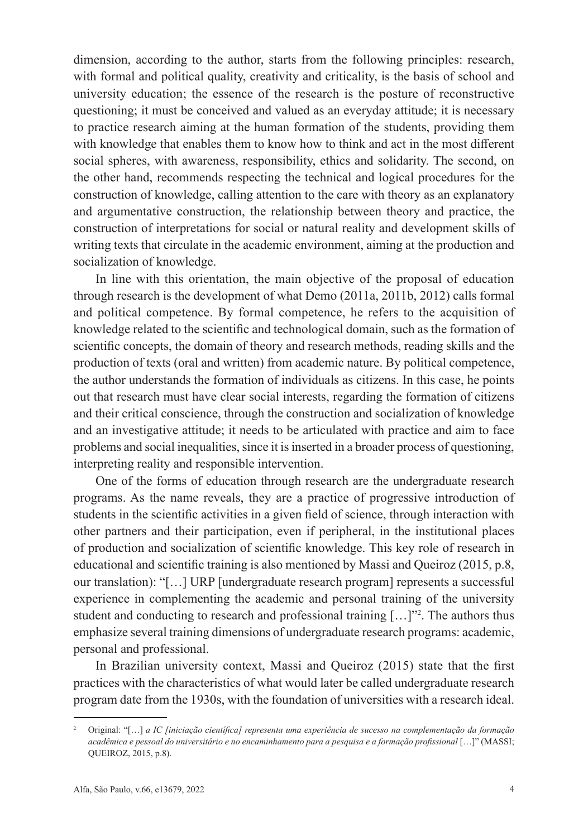dimension, according to the author, starts from the following principles: research, with formal and political quality, creativity and criticality, is the basis of school and university education; the essence of the research is the posture of reconstructive questioning; it must be conceived and valued as an everyday attitude; it is necessary to practice research aiming at the human formation of the students, providing them with knowledge that enables them to know how to think and act in the most different social spheres, with awareness, responsibility, ethics and solidarity. The second, on the other hand, recommends respecting the technical and logical procedures for the construction of knowledge, calling attention to the care with theory as an explanatory and argumentative construction, the relationship between theory and practice, the construction of interpretations for social or natural reality and development skills of writing texts that circulate in the academic environment, aiming at the production and socialization of knowledge.

In line with this orientation, the main objective of the proposal of education through research is the development of what Demo (2011a, 2011b, 2012) calls formal and political competence. By formal competence, he refers to the acquisition of knowledge related to the scientific and technological domain, such as the formation of scientific concepts, the domain of theory and research methods, reading skills and the production of texts (oral and written) from academic nature. By political competence, the author understands the formation of individuals as citizens. In this case, he points out that research must have clear social interests, regarding the formation of citizens and their critical conscience, through the construction and socialization of knowledge and an investigative attitude; it needs to be articulated with practice and aim to face problems and social inequalities, since it is inserted in a broader process of questioning, interpreting reality and responsible intervention.

One of the forms of education through research are the undergraduate research programs. As the name reveals, they are a practice of progressive introduction of students in the scientific activities in a given field of science, through interaction with other partners and their participation, even if peripheral, in the institutional places of production and socialization of scientific knowledge. This key role of research in educational and scientific training is also mentioned by Massi and Queiroz (2015, p.8, our translation): "[…] URP [undergraduate research program] represents a successful experience in complementing the academic and personal training of the university student and conducting to research and professional training […]"2 . The authors thus emphasize several training dimensions of undergraduate research programs: academic, personal and professional.

In Brazilian university context, Massi and Queiroz (2015) state that the first practices with the characteristics of what would later be called undergraduate research program date from the 1930s, with the foundation of universities with a research ideal.

<sup>2</sup> Original: "[…] *a IC [iniciação científica] representa uma experiência de sucesso na complementação da formação acadêmica e pessoal do universitário e no encaminhamento para a pesquisa e a formação profissional* […]" (MASSI; QUEIROZ, 2015, p.8).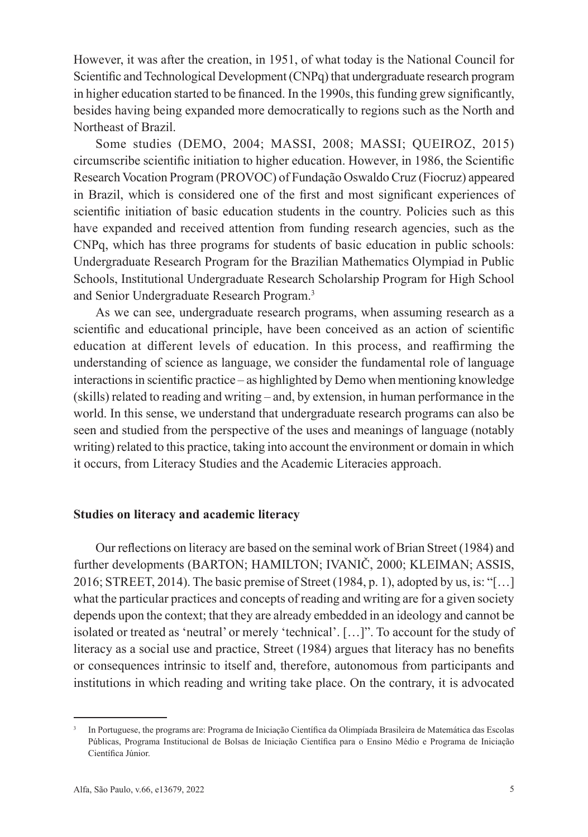However, it was after the creation, in 1951, of what today is the National Council for Scientific and Technological Development (CNPq) that undergraduate research program in higher education started to be financed. In the 1990s, this funding grew significantly, besides having being expanded more democratically to regions such as the North and Northeast of Brazil.

Some studies (DEMO, 2004; MASSI, 2008; MASSI; QUEIROZ, 2015) circumscribe scientific initiation to higher education. However, in 1986, the Scientific Research Vocation Program (PROVOC) of Fundação Oswaldo Cruz (Fiocruz) appeared in Brazil, which is considered one of the first and most significant experiences of scientific initiation of basic education students in the country. Policies such as this have expanded and received attention from funding research agencies, such as the CNPq, which has three programs for students of basic education in public schools: Undergraduate Research Program for the Brazilian Mathematics Olympiad in Public Schools, Institutional Undergraduate Research Scholarship Program for High School and Senior Undergraduate Research Program.3

As we can see, undergraduate research programs, when assuming research as a scientific and educational principle, have been conceived as an action of scientific education at different levels of education. In this process, and reaffirming the understanding of science as language, we consider the fundamental role of language interactions in scientific practice – as highlighted by Demo when mentioning knowledge (skills) related to reading and writing – and, by extension, in human performance in the world. In this sense, we understand that undergraduate research programs can also be seen and studied from the perspective of the uses and meanings of language (notably writing) related to this practice, taking into account the environment or domain in which it occurs, from Literacy Studies and the Academic Literacies approach.

# **Studies on literacy and academic literacy**

Our reflections on literacy are based on the seminal work of Brian Street (1984) and further developments (BARTON; HAMILTON; IVANIČ, 2000; KLEIMAN; ASSIS, 2016; STREET, 2014). The basic premise of Street (1984, p. 1), adopted by us, is: "[…] what the particular practices and concepts of reading and writing are for a given society depends upon the context; that they are already embedded in an ideology and cannot be isolated or treated as 'neutral' or merely 'technical'. […]". To account for the study of literacy as a social use and practice, Street (1984) argues that literacy has no benefits or consequences intrinsic to itself and, therefore, autonomous from participants and institutions in which reading and writing take place. On the contrary, it is advocated

<sup>3</sup> In Portuguese, the programs are: Programa de Iniciação Científica da Olimpíada Brasileira de Matemática das Escolas Públicas, Programa Institucional de Bolsas de Iniciação Científica para o Ensino Médio e Programa de Iniciação Científica Júnior.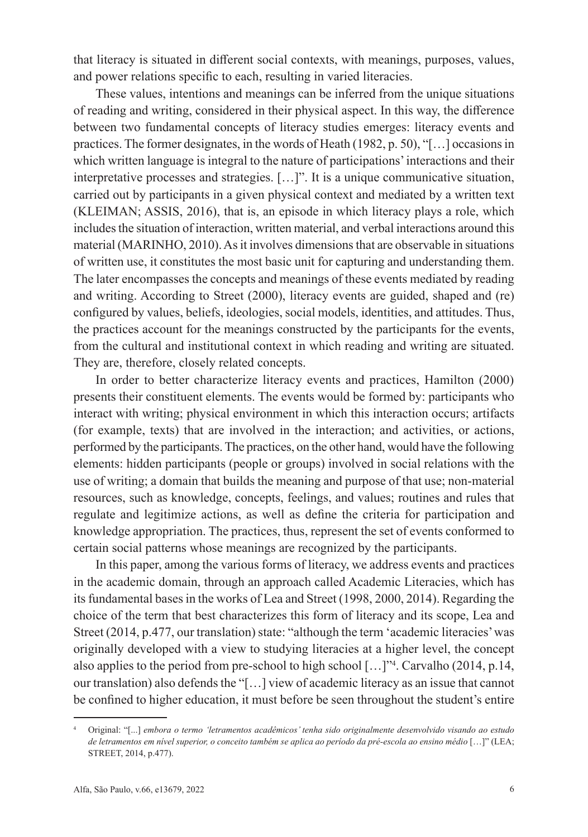that literacy is situated in different social contexts, with meanings, purposes, values, and power relations specific to each, resulting in varied literacies.

These values, intentions and meanings can be inferred from the unique situations of reading and writing, considered in their physical aspect. In this way, the difference between two fundamental concepts of literacy studies emerges: literacy events and practices. The former designates, in the words of Heath (1982, p. 50), "[…] occasions in which written language is integral to the nature of participations' interactions and their interpretative processes and strategies. […]". It is a unique communicative situation, carried out by participants in a given physical context and mediated by a written text (KLEIMAN; ASSIS, 2016), that is, an episode in which literacy plays a role, which includes the situation of interaction, written material, and verbal interactions around this material (MARINHO, 2010). As it involves dimensions that are observable in situations of written use, it constitutes the most basic unit for capturing and understanding them. The later encompasses the concepts and meanings of these events mediated by reading and writing. According to Street (2000), literacy events are guided, shaped and (re) configured by values, beliefs, ideologies, social models, identities, and attitudes. Thus, the practices account for the meanings constructed by the participants for the events, from the cultural and institutional context in which reading and writing are situated. They are, therefore, closely related concepts.

In order to better characterize literacy events and practices, Hamilton (2000) presents their constituent elements. The events would be formed by: participants who interact with writing; physical environment in which this interaction occurs; artifacts (for example, texts) that are involved in the interaction; and activities, or actions, performed by the participants. The practices, on the other hand, would have the following elements: hidden participants (people or groups) involved in social relations with the use of writing; a domain that builds the meaning and purpose of that use; non-material resources, such as knowledge, concepts, feelings, and values; routines and rules that regulate and legitimize actions, as well as define the criteria for participation and knowledge appropriation. The practices, thus, represent the set of events conformed to certain social patterns whose meanings are recognized by the participants.

In this paper, among the various forms of literacy, we address events and practices in the academic domain, through an approach called Academic Literacies, which has its fundamental bases in the works of Lea and Street (1998, 2000, 2014). Regarding the choice of the term that best characterizes this form of literacy and its scope, Lea and Street (2014, p.477, our translation) state: "although the term 'academic literacies' was originally developed with a view to studying literacies at a higher level, the concept also applies to the period from pre-school to high school […]"4 . Carvalho (2014, p.14, our translation) also defends the "[…] view of academic literacy as an issue that cannot be confined to higher education, it must before be seen throughout the student's entire

<sup>4</sup> Original: "[...] *embora o termo 'letramentos acadêmicos' tenha sido originalmente desenvolvido visando ao estudo de letramentos em nível superior, o conceito também se aplica ao período da pré-escola ao ensino médio* […]" (LEA; STREET, 2014, p.477).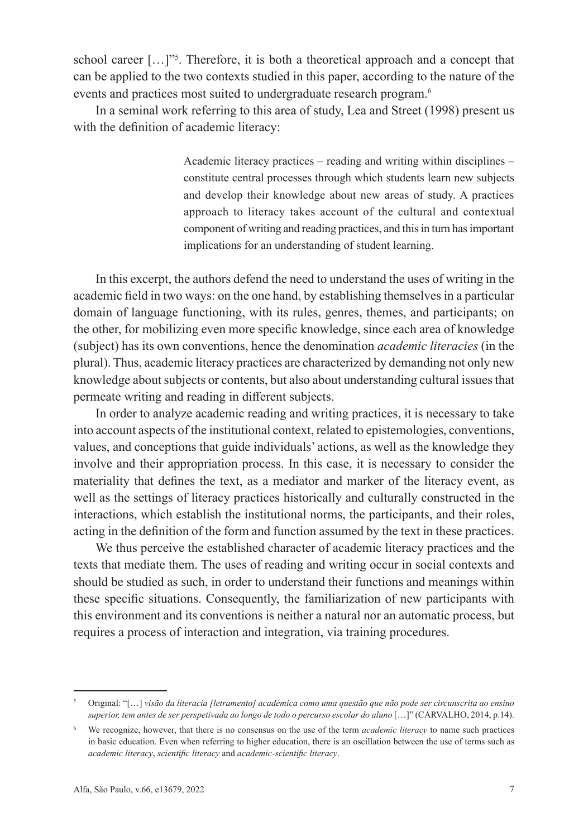school career […]"5 . Therefore, it is both a theoretical approach and a concept that can be applied to the two contexts studied in this paper, according to the nature of the events and practices most suited to undergraduate research program.<sup>6</sup>

In a seminal work referring to this area of study, Lea and Street (1998) present us with the definition of academic literacy:

> Academic literacy practices – reading and writing within disciplines – constitute central processes through which students learn new subjects and develop their knowledge about new areas of study. A practices approach to literacy takes account of the cultural and contextual component of writing and reading practices, and this in turn has important implications for an understanding of student learning.

In this excerpt, the authors defend the need to understand the uses of writing in the academic field in two ways: on the one hand, by establishing themselves in a particular domain of language functioning, with its rules, genres, themes, and participants; on the other, for mobilizing even more specific knowledge, since each area of knowledge (subject) has its own conventions, hence the denomination *academic literacies* (in the plural). Thus, academic literacy practices are characterized by demanding not only new knowledge about subjects or contents, but also about understanding cultural issues that permeate writing and reading in different subjects.

In order to analyze academic reading and writing practices, it is necessary to take into account aspects of the institutional context, related to epistemologies, conventions, values, and conceptions that guide individuals' actions, as well as the knowledge they involve and their appropriation process. In this case, it is necessary to consider the materiality that defines the text, as a mediator and marker of the literacy event, as well as the settings of literacy practices historically and culturally constructed in the interactions, which establish the institutional norms, the participants, and their roles, acting in the definition of the form and function assumed by the text in these practices.

We thus perceive the established character of academic literacy practices and the texts that mediate them. The uses of reading and writing occur in social contexts and should be studied as such, in order to understand their functions and meanings within these specific situations. Consequently, the familiarization of new participants with this environment and its conventions is neither a natural nor an automatic process, but requires a process of interaction and integration, via training procedures.

<sup>5</sup> Original: "[…] *visão da literacia [letramento] académica como uma questão que não pode ser circunscrita ao ensino superior, tem antes de ser perspetivada ao longo de todo o percurso escolar do aluno* […]" (CARVALHO, 2014, p.14).

<sup>6</sup> We recognize, however, that there is no consensus on the use of the term *academic literacy* to name such practices in basic education. Even when referring to higher education, there is an oscillation between the use of terms such as *academic literacy*, *scientific literacy* and *academic-scientific literacy*.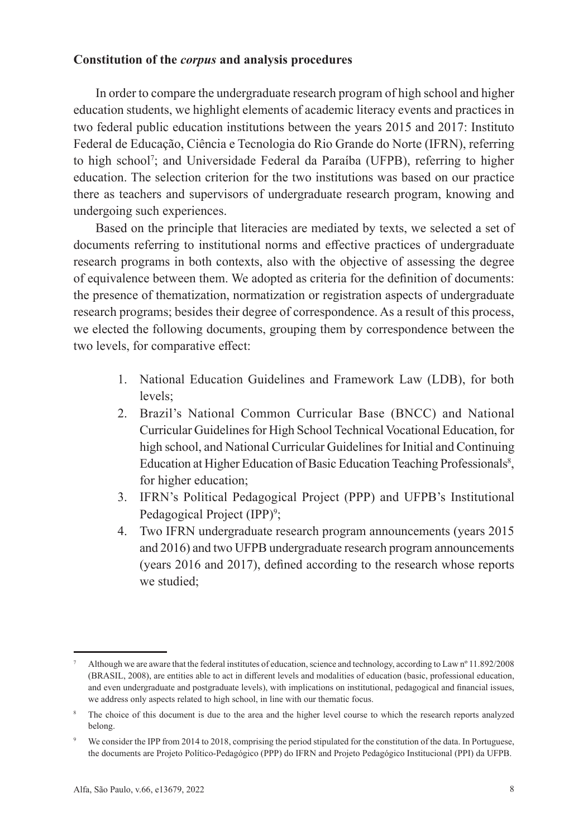# **Constitution of the** *corpus* **and analysis procedures**

In order to compare the undergraduate research program of high school and higher education students, we highlight elements of academic literacy events and practices in two federal public education institutions between the years 2015 and 2017: Instituto Federal de Educação, Ciência e Tecnologia do Rio Grande do Norte (IFRN), referring to high school7 ; and Universidade Federal da Paraíba (UFPB), referring to higher education. The selection criterion for the two institutions was based on our practice there as teachers and supervisors of undergraduate research program, knowing and undergoing such experiences.

Based on the principle that literacies are mediated by texts, we selected a set of documents referring to institutional norms and effective practices of undergraduate research programs in both contexts, also with the objective of assessing the degree of equivalence between them. We adopted as criteria for the definition of documents: the presence of thematization, normatization or registration aspects of undergraduate research programs; besides their degree of correspondence. As a result of this process, we elected the following documents, grouping them by correspondence between the two levels, for comparative effect:

- 1. National Education Guidelines and Framework Law (LDB), for both levels;
- 2. Brazil's National Common Curricular Base (BNCC) and National Curricular Guidelines for High School Technical Vocational Education, for high school, and National Curricular Guidelines for Initial and Continuing Education at Higher Education of Basic Education Teaching Professionals<sup>8</sup>, for higher education;
- 3. IFRN's Political Pedagogical Project (PPP) and UFPB's Institutional Pedagogical Project (IPP)<sup>9</sup>;
- 4. Two IFRN undergraduate research program announcements (years 2015 and 2016) and two UFPB undergraduate research program announcements (years 2016 and 2017), defined according to the research whose reports we studied;

<sup>7</sup> Although we are aware that the federal institutes of education, science and technology, according to Law nº 11.892/2008 (BRASIL, 2008), are entities able to act in different levels and modalities of education (basic, professional education, and even undergraduate and postgraduate levels), with implications on institutional, pedagogical and financial issues, we address only aspects related to high school, in line with our thematic focus.

<sup>&</sup>lt;sup>8</sup> The choice of this document is due to the area and the higher level course to which the research reports analyzed belong.

<sup>&</sup>lt;sup>9</sup> We consider the IPP from 2014 to 2018, comprising the period stipulated for the constitution of the data. In Portuguese, the documents are Projeto Político-Pedagógico (PPP) do IFRN and Projeto Pedagógico Institucional (PPI) da UFPB.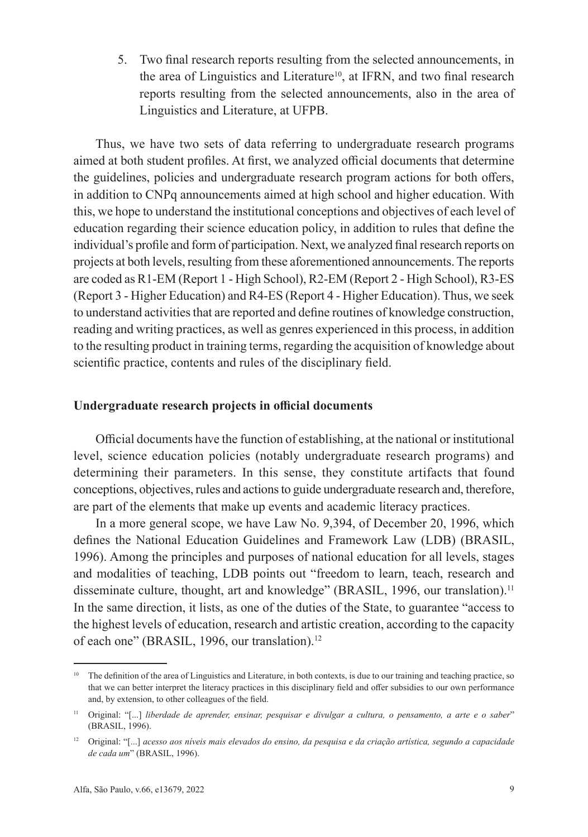5. Two final research reports resulting from the selected announcements, in the area of Linguistics and Literature<sup>10</sup>, at IFRN, and two final research reports resulting from the selected announcements, also in the area of Linguistics and Literature, at UFPB.

Thus, we have two sets of data referring to undergraduate research programs aimed at both student profiles. At first, we analyzed official documents that determine the guidelines, policies and undergraduate research program actions for both offers, in addition to CNPq announcements aimed at high school and higher education. With this, we hope to understand the institutional conceptions and objectives of each level of education regarding their science education policy, in addition to rules that define the individual's profile and form of participation. Next, we analyzed final research reports on projects at both levels, resulting from these aforementioned announcements. The reports are coded as R1-EM (Report 1 - High School), R2-EM (Report 2 - High School), R3-ES (Report 3 - Higher Education) and R4-ES (Report 4 - Higher Education). Thus, we seek to understand activities that are reported and define routines of knowledge construction, reading and writing practices, as well as genres experienced in this process, in addition to the resulting product in training terms, regarding the acquisition of knowledge about scientific practice, contents and rules of the disciplinary field.

## **Undergraduate research projects in official documents**

Official documents have the function of establishing, at the national or institutional level, science education policies (notably undergraduate research programs) and determining their parameters. In this sense, they constitute artifacts that found conceptions, objectives, rules and actions to guide undergraduate research and, therefore, are part of the elements that make up events and academic literacy practices.

In a more general scope, we have Law No. 9,394, of December 20, 1996, which defines the National Education Guidelines and Framework Law (LDB) (BRASIL, 1996). Among the principles and purposes of national education for all levels, stages and modalities of teaching, LDB points out "freedom to learn, teach, research and disseminate culture, thought, art and knowledge" (BRASIL, 1996, our translation).<sup>11</sup> In the same direction, it lists, as one of the duties of the State, to guarantee "access to the highest levels of education, research and artistic creation, according to the capacity of each one" (BRASIL, 1996, our translation).<sup>12</sup>

<sup>&</sup>lt;sup>10</sup> The definition of the area of Linguistics and Literature, in both contexts, is due to our training and teaching practice, so that we can better interpret the literacy practices in this disciplinary field and offer subsidies to our own performance and, by extension, to other colleagues of the field.

<sup>11</sup> Original: "[...] *liberdade de aprender, ensinar, pesquisar e divulgar a cultura, o pensamento, a arte e o saber*" (BRASIL, 1996).

<sup>12</sup> Original: "[...] *acesso aos níveis mais elevados do ensino, da pesquisa e da criação artística, segundo a capacidade de cada um*" (BRASIL, 1996).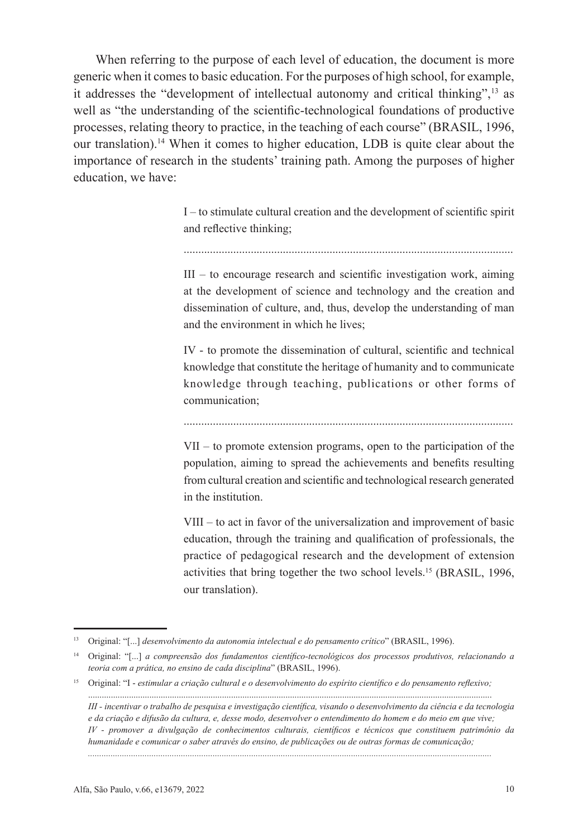When referring to the purpose of each level of education, the document is more generic when it comes to basic education. For the purposes of high school, for example, it addresses the "development of intellectual autonomy and critical thinking",13 as well as "the understanding of the scientific-technological foundations of productive processes, relating theory to practice, in the teaching of each course" (BRASIL, 1996, our translation).<sup>14</sup> When it comes to higher education, LDB is quite clear about the importance of research in the students' training path. Among the purposes of higher education, we have:

> I – to stimulate cultural creation and the development of scientific spirit and reflective thinking;

III – to encourage research and scientific investigation work, aiming at the development of science and technology and the creation and dissemination of culture, and, thus, develop the understanding of man and the environment in which he lives;

IV - to promote the dissemination of cultural, scientific and technical knowledge that constitute the heritage of humanity and to communicate knowledge through teaching, publications or other forms of communication;

VII – to promote extension programs, open to the participation of the population, aiming to spread the achievements and benefits resulting from cultural creation and scientific and technological research generated in the institution.

VIII – to act in favor of the universalization and improvement of basic education, through the training and qualification of professionals, the practice of pedagogical research and the development of extension activities that bring together the two school levels.15 (BRASIL, 1996, our translation).

<sup>13</sup> Original: "[...] *desenvolvimento da autonomia intelectual e do pensamento crítico*" (BRASIL, 1996).

<sup>14</sup> Original: "[...] *a compreensão dos fundamentos científico-tecnológicos dos processos produtivos, relacionando a teoria com a prática, no ensino de cada disciplina*" (BRASIL, 1996).

<sup>15</sup> Original: "I - *estimular a criação cultural e o desenvolvimento do espírito científico e do pensamento reflexivo;*

*III - incentivar o trabalho de pesquisa e investigação científica, visando o desenvolvimento da ciência e da tecnologia e da criação e difusão da cultura, e, desse modo, desenvolver o entendimento do homem e do meio em que vive; IV - promover a divulgação de conhecimentos culturais, científicos e técnicos que constituem patrimônio da humanidade e comunicar o saber através do ensino, de publicações ou de outras formas de comunicação;*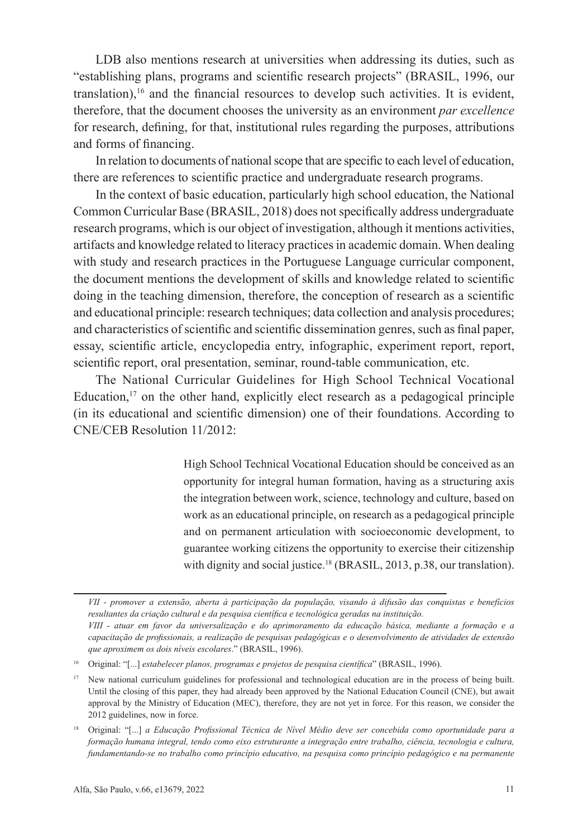LDB also mentions research at universities when addressing its duties, such as "establishing plans, programs and scientific research projects" (BRASIL, 1996, our translation),<sup>16</sup> and the financial resources to develop such activities. It is evident, therefore, that the document chooses the university as an environment *par excellence* for research, defining, for that, institutional rules regarding the purposes, attributions and forms of financing.

In relation to documents of national scope that are specific to each level of education, there are references to scientific practice and undergraduate research programs.

In the context of basic education, particularly high school education, the National Common Curricular Base (BRASIL, 2018) does not specifically address undergraduate research programs, which is our object of investigation, although it mentions activities, artifacts and knowledge related to literacy practices in academic domain. When dealing with study and research practices in the Portuguese Language curricular component, the document mentions the development of skills and knowledge related to scientific doing in the teaching dimension, therefore, the conception of research as a scientific and educational principle: research techniques; data collection and analysis procedures; and characteristics of scientific and scientific dissemination genres, such as final paper, essay, scientific article, encyclopedia entry, infographic, experiment report, report, scientific report, oral presentation, seminar, round-table communication, etc.

The National Curricular Guidelines for High School Technical Vocational Education, $17$  on the other hand, explicitly elect research as a pedagogical principle (in its educational and scientific dimension) one of their foundations. According to CNE/CEB Resolution 11/2012:

> High School Technical Vocational Education should be conceived as an opportunity for integral human formation, having as a structuring axis the integration between work, science, technology and culture, based on work as an educational principle, on research as a pedagogical principle and on permanent articulation with socioeconomic development, to guarantee working citizens the opportunity to exercise their citizenship with dignity and social justice.<sup>18</sup> (BRASIL, 2013, p.38, our translation).

*VII - promover a extensão, aberta à participação da população, visando à difusão das conquistas e benefícios resultantes da criação cultural e da pesquisa científica e tecnológica geradas na instituição.*

*VIII - atuar em favor da universalização e do aprimoramento da educação básica, mediante a formação e a capacitação de profissionais, a realização de pesquisas pedagógicas e o desenvolvimento de atividades de extensão que aproximem os dois níveis escolares*." (BRASIL, 1996).

<sup>16</sup> Original: "[...] *estabelecer planos, programas e projetos de pesquisa científica*" (BRASIL, 1996).

<sup>&</sup>lt;sup>17</sup> New national curriculum guidelines for professional and technological education are in the process of being built. Until the closing of this paper, they had already been approved by the National Education Council (CNE), but await approval by the Ministry of Education (MEC), therefore, they are not yet in force. For this reason, we consider the 2012 guidelines, now in force.

<sup>18</sup> Original: "[...] *a Educação Profissional Técnica de Nível Médio deve ser concebida como oportunidade para a formação humana integral, tendo como eixo estruturante a integração entre trabalho, ciência, tecnologia e cultura, fundamentando-se no trabalho como princípio educativo, na pesquisa como princípio pedagógico e na permanente*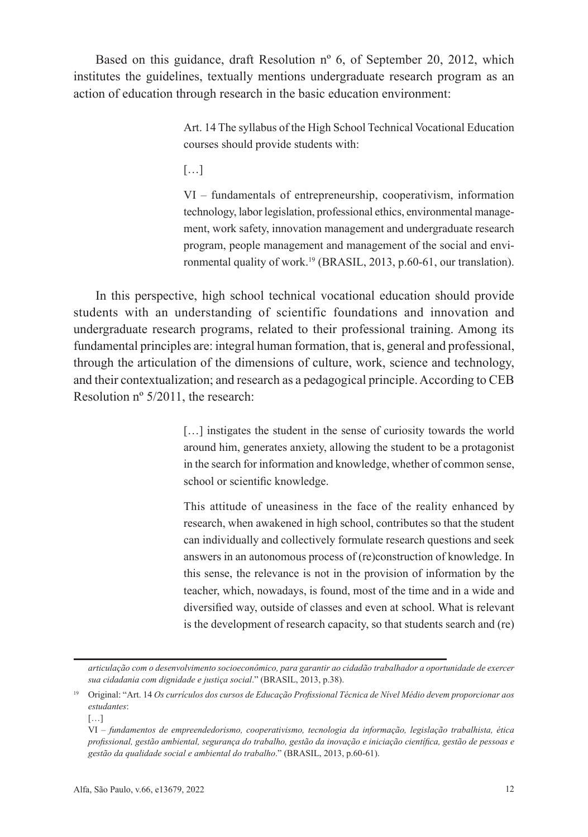Based on this guidance, draft Resolution nº 6, of September 20, 2012, which institutes the guidelines, textually mentions undergraduate research program as an action of education through research in the basic education environment:

> Art. 14 The syllabus of the High School Technical Vocational Education courses should provide students with:

[…]

VI – fundamentals of entrepreneurship, cooperativism, information technology, labor legislation, professional ethics, environmental management, work safety, innovation management and undergraduate research program, people management and management of the social and environmental quality of work.<sup>19</sup> (BRASIL, 2013, p.60-61, our translation).

In this perspective, high school technical vocational education should provide students with an understanding of scientific foundations and innovation and undergraduate research programs, related to their professional training. Among its fundamental principles are: integral human formation, that is, general and professional, through the articulation of the dimensions of culture, work, science and technology, and their contextualization; and research as a pedagogical principle. According to CEB Resolution nº 5/2011, the research:

> [...] instigates the student in the sense of curiosity towards the world around him, generates anxiety, allowing the student to be a protagonist in the search for information and knowledge, whether of common sense, school or scientific knowledge.

> This attitude of uneasiness in the face of the reality enhanced by research, when awakened in high school, contributes so that the student can individually and collectively formulate research questions and seek answers in an autonomous process of (re)construction of knowledge. In this sense, the relevance is not in the provision of information by the teacher, which, nowadays, is found, most of the time and in a wide and diversified way, outside of classes and even at school. What is relevant is the development of research capacity, so that students search and (re)

*articulação com o desenvolvimento socioeconômico, para garantir ao cidadão trabalhador a oportunidade de exercer sua cidadania com dignidade e justiça social*." (BRASIL, 2013, p.38).

<sup>19</sup> Original: "Art. 14 *Os currículos dos cursos de Educação Profissional Técnica de Nível Médio devem proporcionar aos estudantes*:

 $[\ldots]$ 

VI – *fundamentos de empreendedorismo, cooperativismo, tecnologia da informação, legislação trabalhista, ética profissional, gestão ambiental, segurança do trabalho, gestão da inovação e iniciação científica, gestão de pessoas e gestão da qualidade social e ambiental do trabalho*." (BRASIL, 2013, p.60-61).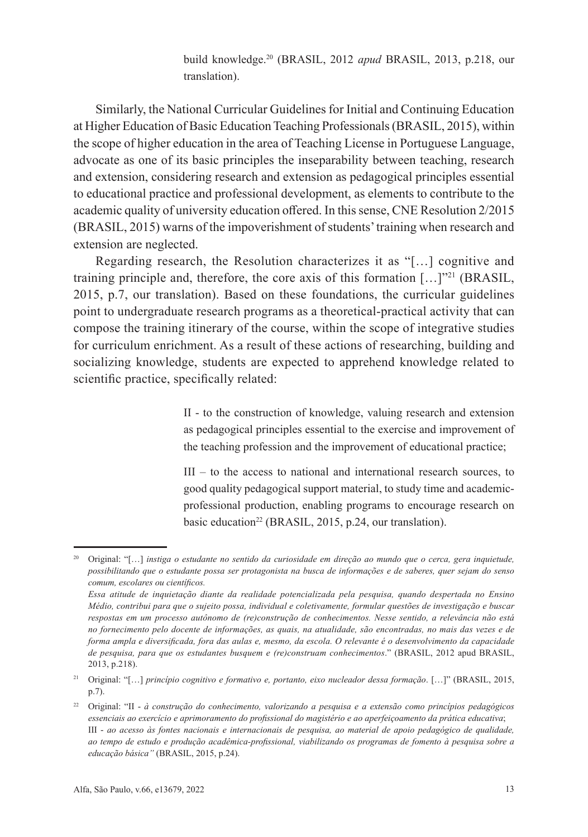build knowledge.20 (BRASIL, 2012 *apud* BRASIL, 2013, p.218, our translation).

Similarly, the National Curricular Guidelines for Initial and Continuing Education at Higher Education of Basic Education Teaching Professionals (BRASIL, 2015), within the scope of higher education in the area of Teaching License in Portuguese Language, advocate as one of its basic principles the inseparability between teaching, research and extension, considering research and extension as pedagogical principles essential to educational practice and professional development, as elements to contribute to the academic quality of university education offered. In this sense, CNE Resolution 2/2015 (BRASIL, 2015) warns of the impoverishment of students' training when research and extension are neglected.

Regarding research, the Resolution characterizes it as "[…] cognitive and training principle and, therefore, the core axis of this formation  $[\dots]^{221}$  (BRASIL, 2015, p.7, our translation). Based on these foundations, the curricular guidelines point to undergraduate research programs as a theoretical-practical activity that can compose the training itinerary of the course, within the scope of integrative studies for curriculum enrichment. As a result of these actions of researching, building and socializing knowledge, students are expected to apprehend knowledge related to scientific practice, specifically related:

> II - to the construction of knowledge, valuing research and extension as pedagogical principles essential to the exercise and improvement of the teaching profession and the improvement of educational practice;

> III – to the access to national and international research sources, to good quality pedagogical support material, to study time and academicprofessional production, enabling programs to encourage research on basic education<sup>22</sup> (BRASIL, 2015, p.24, our translation).

<sup>20</sup> Original: "[…] *instiga o estudante no sentido da curiosidade em direção ao mundo que o cerca, gera inquietude, possibilitando que o estudante possa ser protagonista na busca de informações e de saberes, quer sejam do senso comum, escolares ou científicos.* 

*Essa atitude de inquietação diante da realidade potencializada pela pesquisa, quando despertada no Ensino Médio, contribui para que o sujeito possa, individual e coletivamente, formular questões de investigação e buscar respostas em um processo autônomo de (re)construção de conhecimentos. Nesse sentido, a relevância não está no fornecimento pelo docente de informações, as quais, na atualidade, são encontradas, no mais das vezes e de forma ampla e diversificada, fora das aulas e, mesmo, da escola. O relevante é o desenvolvimento da capacidade de pesquisa, para que os estudantes busquem e (re)construam conhecimentos*." (BRASIL, 2012 apud BRASIL, 2013, p.218).

<sup>21</sup> Original: "[…] *princípio cognitivo e formativo e, portanto, eixo nucleador dessa formação*. […]" (BRASIL, 2015, p.7).

<sup>22</sup> Original: "II - *à construção do conhecimento, valorizando a pesquisa e a extensão como princípios pedagógicos essenciais ao exercício e aprimoramento do profissional do magistério e ao aperfeiçoamento da prática educativa*; III - *ao acesso às fontes nacionais e internacionais de pesquisa, ao material de apoio pedagógico de qualidade, ao tempo de estudo e produção acadêmica-profissional, viabilizando os programas de fomento à pesquisa sobre a educação básica"* (BRASIL, 2015, p.24).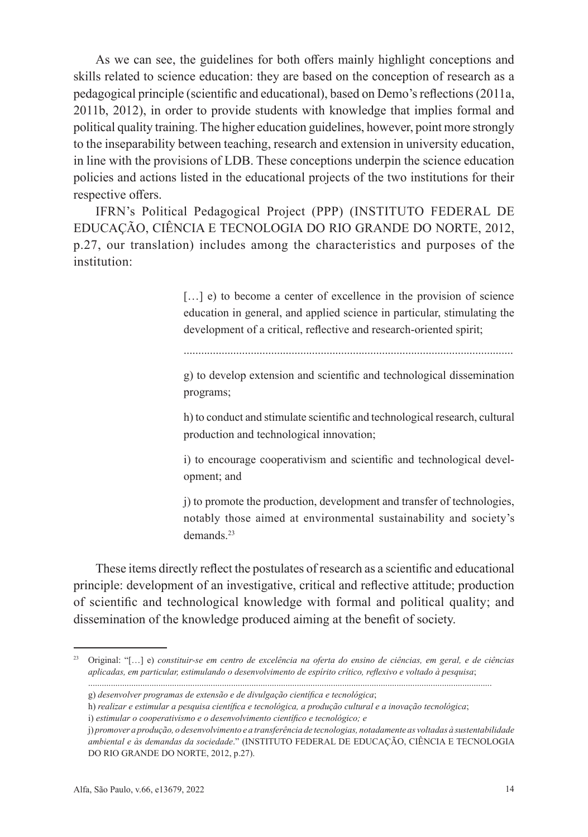As we can see, the guidelines for both offers mainly highlight conceptions and skills related to science education: they are based on the conception of research as a pedagogical principle (scientific and educational), based on Demo's reflections (2011a, 2011b, 2012), in order to provide students with knowledge that implies formal and political quality training. The higher education guidelines, however, point more strongly to the inseparability between teaching, research and extension in university education, in line with the provisions of LDB. These conceptions underpin the science education policies and actions listed in the educational projects of the two institutions for their respective offers.

IFRN's Political Pedagogical Project (PPP) (INSTITUTO FEDERAL DE EDUCAÇÃO, CIÊNCIA E TECNOLOGIA DO RIO GRANDE DO NORTE, 2012, p.27, our translation) includes among the characteristics and purposes of the institution:

> [...] e) to become a center of excellence in the provision of science education in general, and applied science in particular, stimulating the development of a critical, reflective and research-oriented spirit;

.................................................................................................................

g) to develop extension and scientific and technological dissemination programs;

h) to conduct and stimulate scientific and technological research, cultural production and technological innovation;

i) to encourage cooperativism and scientific and technological development; and

j) to promote the production, development and transfer of technologies, notably those aimed at environmental sustainability and society's demands.<sup>23</sup>

These items directly reflect the postulates of research as a scientific and educational principle: development of an investigative, critical and reflective attitude; production of scientific and technological knowledge with formal and political quality; and dissemination of the knowledge produced aiming at the benefit of society.

<sup>23</sup> Original: "[…] e) *constituir-se em centro de excelência na oferta do ensino de ciências, em geral, e de ciências aplicadas, em particular, estimulando o desenvolvimento de espírito crítico, reflexivo e voltado à pesquisa*;

<sup>..................................................................................................................................................................................</sup> g) *desenvolver programas de extensão e de divulgação científica e tecnológica*;

h) *realizar e estimular a pesquisa científica e tecnológica, a produção cultural e a inovação tecnológica*;

i) *estimular o cooperativismo e o desenvolvimento científico e tecnológico; e*

j) *promover a produção, o desenvolvimento e a transferência de tecnologias, notadamente as voltadas à sustentabilidade ambiental e às demandas da sociedade*." (INSTITUTO FEDERAL DE EDUCAÇÃO, CIÊNCIA E TECNOLOGIA DO RIO GRANDE DO NORTE, 2012, p.27).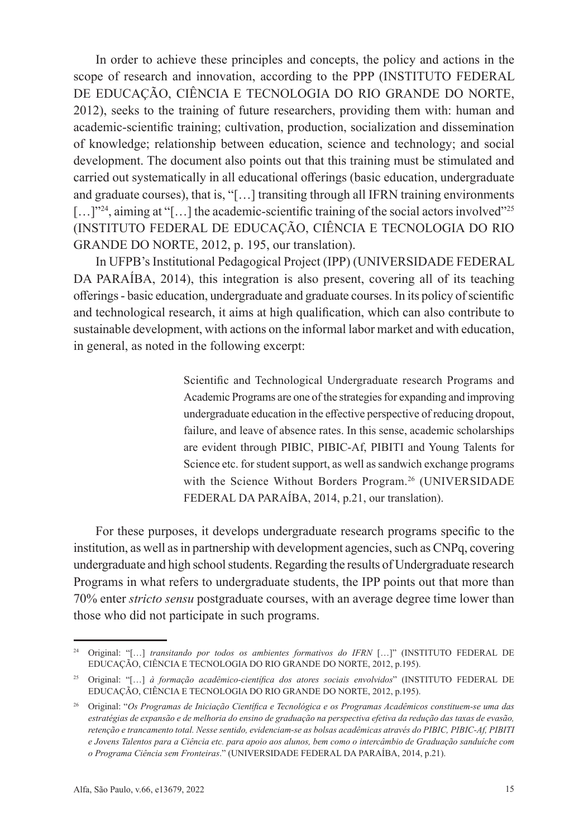In order to achieve these principles and concepts, the policy and actions in the scope of research and innovation, according to the PPP (INSTITUTO FEDERAL DE EDUCAÇÃO, CIÊNCIA E TECNOLOGIA DO RIO GRANDE DO NORTE, 2012), seeks to the training of future researchers, providing them with: human and academic-scientific training; cultivation, production, socialization and dissemination of knowledge; relationship between education, science and technology; and social development. The document also points out that this training must be stimulated and carried out systematically in all educational offerings (basic education, undergraduate and graduate courses), that is, "[…] transiting through all IFRN training environments [...]"<sup>24</sup>, aiming at "[...] the academic-scientific training of the social actors involved"<sup>25</sup> (INSTITUTO FEDERAL DE EDUCAÇÃO, CIÊNCIA E TECNOLOGIA DO RIO GRANDE DO NORTE, 2012, p. 195, our translation).

In UFPB's Institutional Pedagogical Project (IPP) (UNIVERSIDADE FEDERAL DA PARAÍBA, 2014), this integration is also present, covering all of its teaching offerings- basic education, undergraduate and graduate courses. In its policy of scientific and technological research, it aims at high qualification, which can also contribute to sustainable development, with actions on the informal labor market and with education, in general, as noted in the following excerpt:

> Scientific and Technological Undergraduate research Programs and Academic Programs are one of the strategies for expanding and improving undergraduate education in the effective perspective of reducing dropout, failure, and leave of absence rates. In this sense, academic scholarships are evident through PIBIC, PIBIC-Af, PIBITI and Young Talents for Science etc. for student support, as well as sandwich exchange programs with the Science Without Borders Program.<sup>26</sup> (UNIVERSIDADE FEDERAL DA PARAÍBA, 2014, p.21, our translation).

For these purposes, it develops undergraduate research programs specific to the institution, as well as in partnership with development agencies, such as CNPq, covering undergraduate and high school students. Regarding the results of Undergraduate research Programs in what refers to undergraduate students, the IPP points out that more than 70% enter *stricto sensu* postgraduate courses, with an average degree time lower than those who did not participate in such programs.

<sup>24</sup> Original: "[…] *transitando por todos os ambientes formativos do IFRN* […]" (INSTITUTO FEDERAL DE EDUCAÇÃO, CIÊNCIA E TECNOLOGIA DO RIO GRANDE DO NORTE, 2012, p.195).

<sup>25</sup> Original: "[…] *à formação acadêmico-científica dos atores sociais envolvidos*" (INSTITUTO FEDERAL DE EDUCAÇÃO, CIÊNCIA E TECNOLOGIA DO RIO GRANDE DO NORTE, 2012, p.195).

<sup>26</sup> Original: "*Os Programas de Iniciação Científica e Tecnológica e os Programas Acadêmicos constituem-se uma das estratégias de expansão e de melhoria do ensino de graduação na perspectiva efetiva da redução das taxas de evasão, retenção e trancamento total. Nesse sentido, evidenciam-se as bolsas acadêmicas através do PIBIC, PIBIC-Af, PIBITI e Jovens Talentos para a Ciência etc. para apoio aos alunos, bem como o intercâmbio de Graduação sanduíche com o Programa Ciência sem Fronteiras*." (UNIVERSIDADE FEDERAL DA PARAÍBA, 2014, p.21).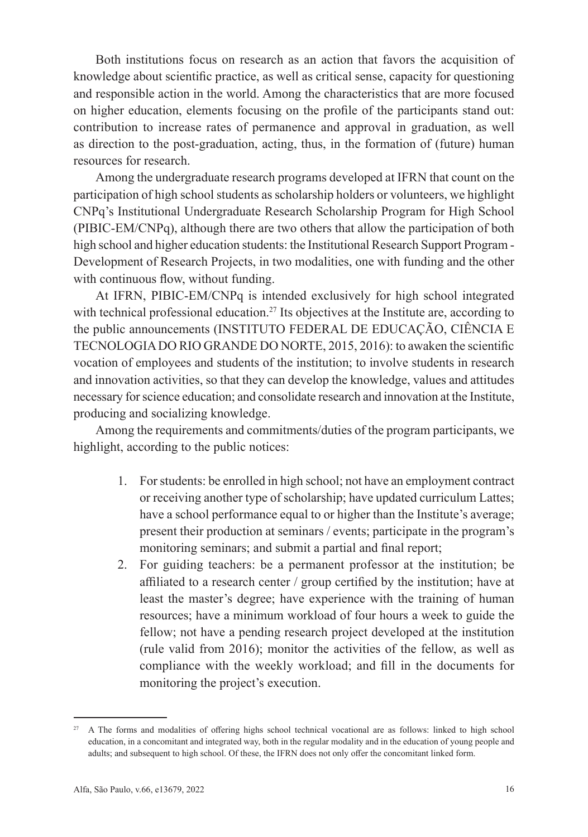Both institutions focus on research as an action that favors the acquisition of knowledge about scientific practice, as well as critical sense, capacity for questioning and responsible action in the world. Among the characteristics that are more focused on higher education, elements focusing on the profile of the participants stand out: contribution to increase rates of permanence and approval in graduation, as well as direction to the post-graduation, acting, thus, in the formation of (future) human resources for research.

Among the undergraduate research programs developed at IFRN that count on the participation of high school students as scholarship holders or volunteers, we highlight CNPq's Institutional Undergraduate Research Scholarship Program for High School (PIBIC-EM/CNPq), although there are two others that allow the participation of both high school and higher education students: the Institutional Research Support Program - Development of Research Projects, in two modalities, one with funding and the other with continuous flow, without funding.

At IFRN, PIBIC-EM/CNPq is intended exclusively for high school integrated with technical professional education.<sup>27</sup> Its objectives at the Institute are, according to the public announcements (INSTITUTO FEDERAL DE EDUCAÇÃO, CIÊNCIA E TECNOLOGIA DO RIO GRANDE DO NORTE, 2015, 2016): to awaken the scientific vocation of employees and students of the institution; to involve students in research and innovation activities, so that they can develop the knowledge, values and attitudes necessary for science education; and consolidate research and innovation at the Institute, producing and socializing knowledge.

Among the requirements and commitments/duties of the program participants, we highlight, according to the public notices:

- 1. For students: be enrolled in high school; not have an employment contract or receiving another type of scholarship; have updated curriculum Lattes; have a school performance equal to or higher than the Institute's average; present their production at seminars / events; participate in the program's monitoring seminars; and submit a partial and final report;
- 2. For guiding teachers: be a permanent professor at the institution; be affiliated to a research center / group certified by the institution; have at least the master's degree; have experience with the training of human resources; have a minimum workload of four hours a week to guide the fellow; not have a pending research project developed at the institution (rule valid from 2016); monitor the activities of the fellow, as well as compliance with the weekly workload; and fill in the documents for monitoring the project's execution.

<sup>&</sup>lt;sup>27</sup> A The forms and modalities of offering highs school technical vocational are as follows: linked to high school education, in a concomitant and integrated way, both in the regular modality and in the education of young people and adults; and subsequent to high school. Of these, the IFRN does not only offer the concomitant linked form.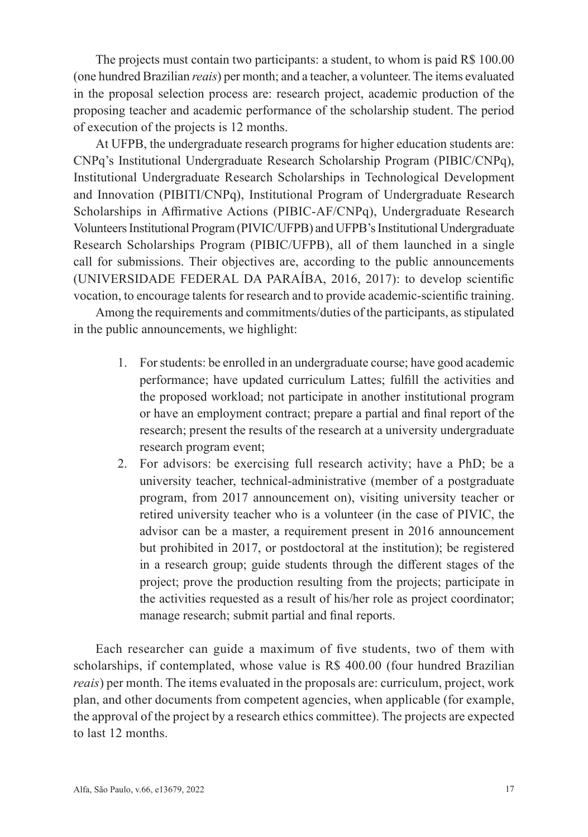The projects must contain two participants: a student, to whom is paid R\$ 100.00 (one hundred Brazilian *reais*) per month; and a teacher, a volunteer. The items evaluated in the proposal selection process are: research project, academic production of the proposing teacher and academic performance of the scholarship student. The period of execution of the projects is 12 months.

At UFPB, the undergraduate research programs for higher education students are: CNPq's Institutional Undergraduate Research Scholarship Program (PIBIC/CNPq), Institutional Undergraduate Research Scholarships in Technological Development and Innovation (PIBITI/CNPq), Institutional Program of Undergraduate Research Scholarships in Affirmative Actions (PIBIC-AF/CNPq), Undergraduate Research Volunteers Institutional Program (PIVIC/UFPB) and UFPB's Institutional Undergraduate Research Scholarships Program (PIBIC/UFPB), all of them launched in a single call for submissions. Their objectives are, according to the public announcements (UNIVERSIDADE FEDERAL DA PARAÍBA, 2016, 2017): to develop scientific vocation, to encourage talents for research and to provide academic-scientific training.

Among the requirements and commitments/duties of the participants, as stipulated in the public announcements, we highlight:

- 1. For students: be enrolled in an undergraduate course; have good academic performance; have updated curriculum Lattes; fulfill the activities and the proposed workload; not participate in another institutional program or have an employment contract; prepare a partial and final report of the research; present the results of the research at a university undergraduate research program event;
- 2. For advisors: be exercising full research activity; have a PhD; be a university teacher, technical-administrative (member of a postgraduate program, from 2017 announcement on), visiting university teacher or retired university teacher who is a volunteer (in the case of PIVIC, the advisor can be a master, a requirement present in 2016 announcement but prohibited in 2017, or postdoctoral at the institution); be registered in a research group; guide students through the different stages of the project; prove the production resulting from the projects; participate in the activities requested as a result of his/her role as project coordinator; manage research; submit partial and final reports.

Each researcher can guide a maximum of five students, two of them with scholarships, if contemplated, whose value is R\$ 400.00 (four hundred Brazilian *reais*) per month. The items evaluated in the proposals are: curriculum, project, work plan, and other documents from competent agencies, when applicable (for example, the approval of the project by a research ethics committee). The projects are expected to last 12 months.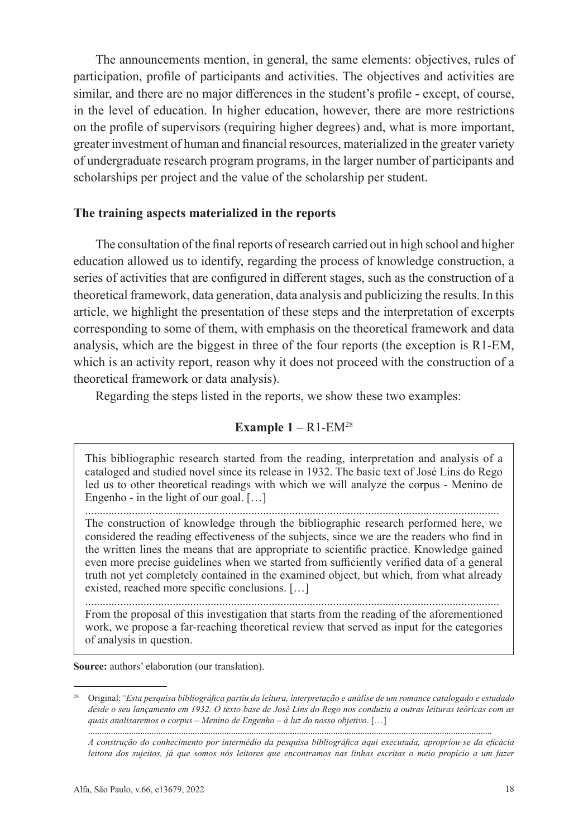The announcements mention, in general, the same elements: objectives, rules of participation, profile of participants and activities. The objectives and activities are similar, and there are no major differences in the student's profile - except, of course, in the level of education. In higher education, however, there are more restrictions on the profile of supervisors (requiring higher degrees) and, what is more important, greater investment of human and financial resources, materialized in the greater variety of undergraduate research program programs, in the larger number of participants and scholarships per project and the value of the scholarship per student.

## **The training aspects materialized in the reports**

The consultation of the final reports of research carried out in high school and higher education allowed us to identify, regarding the process of knowledge construction, a series of activities that are configured in different stages, such as the construction of a theoretical framework, data generation, data analysis and publicizing the results. In this article, we highlight the presentation of these steps and the interpretation of excerpts corresponding to some of them, with emphasis on the theoretical framework and data analysis, which are the biggest in three of the four reports (the exception is R1-EM, which is an activity report, reason why it does not proceed with the construction of a theoretical framework or data analysis).

Regarding the steps listed in the reports, we show these two examples:

# **Example 1** – R1-EM28

This bibliographic research started from the reading, interpretation and analysis of a cataloged and studied novel since its release in 1932. The basic text of José Lins do Rego led us to other theoretical readings with which we will analyze the corpus - Menino de Engenho - in the light of our goal. […]

.............................................................................................................................................. The construction of knowledge through the bibliographic research performed here, we considered the reading effectiveness of the subjects, since we are the readers who find in the written lines the means that are appropriate to scientific practice. Knowledge gained even more precise guidelines when we started from sufficiently verified data of a general truth not yet completely contained in the examined object, but which, from what already existed, reached more specific conclusions. […]

.............................................................................................................................................. From the proposal of this investigation that starts from the reading of the aforementioned work, we propose a far-reaching theoretical review that served as input for the categories of analysis in question.

**Source:** authors' elaboration (our translation).

<sup>28</sup> Original:*"Esta pesquisa bibliográfica partiu da leitura, interpretação e análise de um romance catalogado e estudado desde o seu lançamento em 1932. O texto base de José Lins do Rego nos conduziu a outras leituras teóricas com as quais analisaremos o corpus – Menino de Engenho – à luz do nosso objetivo*. […]

<sup>..................................................................................................................................................................................</sup> *A construção do conhecimento por intermédio da pesquisa bibliográfica aqui executada, apropriou-se da eficácia leitora dos sujeitos, já que somos nós leitores que encontramos nas linhas escritas o meio propício a um fazer*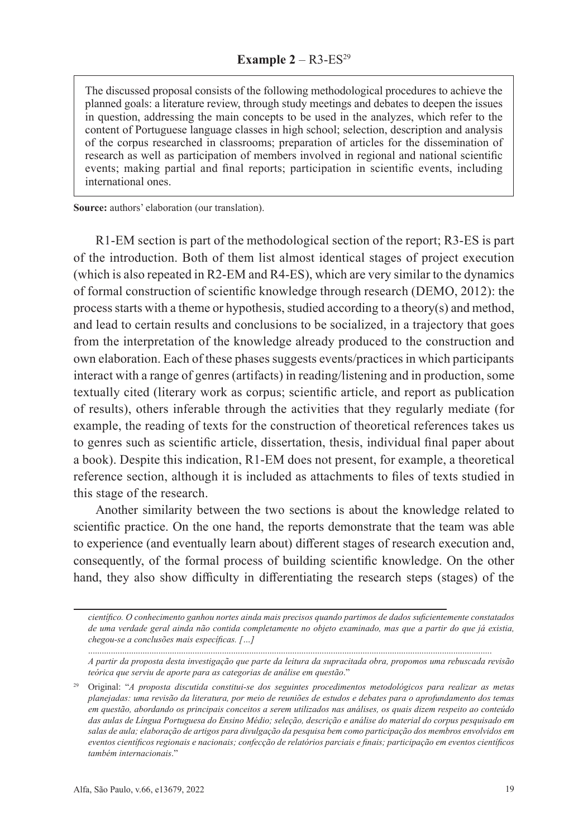The discussed proposal consists of the following methodological procedures to achieve the planned goals: a literature review, through study meetings and debates to deepen the issues in question, addressing the main concepts to be used in the analyzes, which refer to the content of Portuguese language classes in high school; selection, description and analysis of the corpus researched in classrooms; preparation of articles for the dissemination of research as well as participation of members involved in regional and national scientific events; making partial and final reports; participation in scientific events, including international ones.

**Source:** authors' elaboration (our translation).

R1-EM section is part of the methodological section of the report; R3-ES is part of the introduction. Both of them list almost identical stages of project execution (which is also repeated in R2-EM and R4-ES), which are very similar to the dynamics of formal construction of scientific knowledge through research (DEMO, 2012): the process starts with a theme or hypothesis, studied according to a theory(s) and method, and lead to certain results and conclusions to be socialized, in a trajectory that goes from the interpretation of the knowledge already produced to the construction and own elaboration. Each of these phases suggests events/practices in which participants interact with a range of genres (artifacts) in reading/listening and in production, some textually cited (literary work as corpus; scientific article, and report as publication of results), others inferable through the activities that they regularly mediate (for example, the reading of texts for the construction of theoretical references takes us to genres such as scientific article, dissertation, thesis, individual final paper about a book). Despite this indication, R1-EM does not present, for example, a theoretical reference section, although it is included as attachments to files of texts studied in this stage of the research.

Another similarity between the two sections is about the knowledge related to scientific practice. On the one hand, the reports demonstrate that the team was able to experience (and eventually learn about) different stages of research execution and, consequently, of the formal process of building scientific knowledge. On the other hand, they also show difficulty in differentiating the research steps (stages) of the

*científico. O conhecimento ganhou nortes ainda mais precisos quando partimos de dados suficientemente constatados de uma verdade geral ainda não contida completamente no objeto examinado, mas que a partir do que já existia, chegou-se a conclusões mais específicas. […]*

<sup>..................................................................................................................................................................................</sup> *A partir da proposta desta investigação que parte da leitura da supracitada obra, propomos uma rebuscada revisão teórica que serviu de aporte para as categorias de análise em questão*."

<sup>29</sup> Original: "*A proposta discutida constitui-se dos seguintes procedimentos metodológicos para realizar as metas planejadas: uma revisão da literatura, por meio de reuniões de estudos e debates para o aprofundamento dos temas em questão, abordando os principais conceitos a serem utilizados nas análises, os quais dizem respeito ao conteúdo das aulas de Língua Portuguesa do Ensino Médio; seleção, descrição e análise do material do corpus pesquisado em salas de aula; elaboração de artigos para divulgação da pesquisa bem como participação dos membros envolvidos em eventos científicos regionais e nacionais; confecção de relatórios parciais e finais; participação em eventos científicos também internacionais*."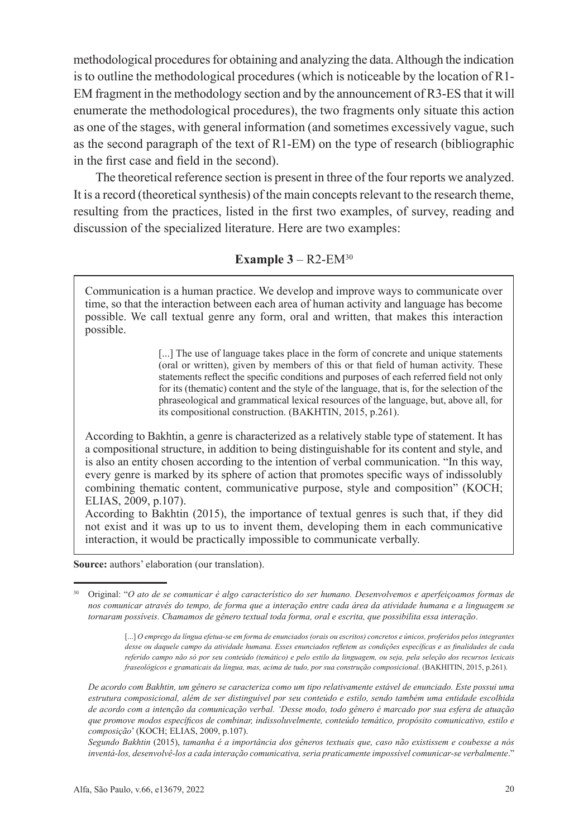methodological procedures for obtaining and analyzing the data. Although the indication is to outline the methodological procedures (which is noticeable by the location of R1- EM fragment in the methodology section and by the announcement of R3-ES that it will enumerate the methodological procedures), the two fragments only situate this action as one of the stages, with general information (and sometimes excessively vague, such as the second paragraph of the text of R1-EM) on the type of research (bibliographic in the first case and field in the second).

The theoretical reference section is present in three of the four reports we analyzed. It is a record (theoretical synthesis) of the main concepts relevant to the research theme, resulting from the practices, listed in the first two examples, of survey, reading and discussion of the specialized literature. Here are two examples:

# **Example 3** – R2-EM30

Communication is a human practice. We develop and improve ways to communicate over time, so that the interaction between each area of human activity and language has become possible. We call textual genre any form, oral and written, that makes this interaction possible.

> [...] The use of language takes place in the form of concrete and unique statements (oral or written), given by members of this or that field of human activity. These statements reflect the specific conditions and purposes of each referred field not only for its (thematic) content and the style of the language, that is, for the selection of the phraseological and grammatical lexical resources of the language, but, above all, for its compositional construction. (BAKHTIN, 2015, p.261).

According to Bakhtin, a genre is characterized as a relatively stable type of statement. It has a compositional structure, in addition to being distinguishable for its content and style, and is also an entity chosen according to the intention of verbal communication. "In this way, every genre is marked by its sphere of action that promotes specific ways of indissolubly combining thematic content, communicative purpose, style and composition" (KOCH; ELIAS, 2009, p.107).

According to Bakhtin (2015), the importance of textual genres is such that, if they did not exist and it was up to us to invent them, developing them in each communicative interaction, it would be practically impossible to communicate verbally.

**Source:** authors' elaboration (our translation).

<sup>30</sup> Original: "*O ato de se comunicar é algo característico do ser humano. Desenvolvemos e aperfeiçoamos formas de nos comunicar através do tempo, de forma que a interação entre cada área da atividade humana e a linguagem se tornaram possíveis. Chamamos de gênero textual toda forma, oral e escrita, que possibilita essa interação*.

<sup>[...]</sup> *O emprego da língua efetua-se em forma de enunciados (orais ou escritos) concretos e únicos, proferidos pelos integrantes desse ou daquele campo da atividade humana. Esses enunciados refletem as condições específicas e as finalidades de cada referido campo não só por seu conteúdo (temático) e pelo estilo da linguagem, ou seja, pela seleção dos recursos lexicais fraseológicos e gramaticais da língua, mas, acima de tudo, por sua construção composicional*. (BAKHITIN, 2015, p.261).

*De acordo com Bakhtin, um gênero se caracteriza como um tipo relativamente estável de enunciado. Este possui uma estrutura composicional, além de ser distinguível por seu conteúdo e estilo, sendo também uma entidade escolhida de acordo com a intenção da comunicação verbal. 'Desse modo, todo gênero é marcado por sua esfera de atuação que promove modos específicos de combinar, indissoluvelmente, conteúdo temático, propósito comunicativo, estilo e composição*' (KOCH; ELIAS, 2009, p.107).

*Segundo Bakhtin* (2015), *tamanha é a importância dos gêneros textuais que, caso não existissem e coubesse a nós inventá-los, desenvolvê-los a cada interação comunicativa, seria praticamente impossível comunicar-se verbalmente*."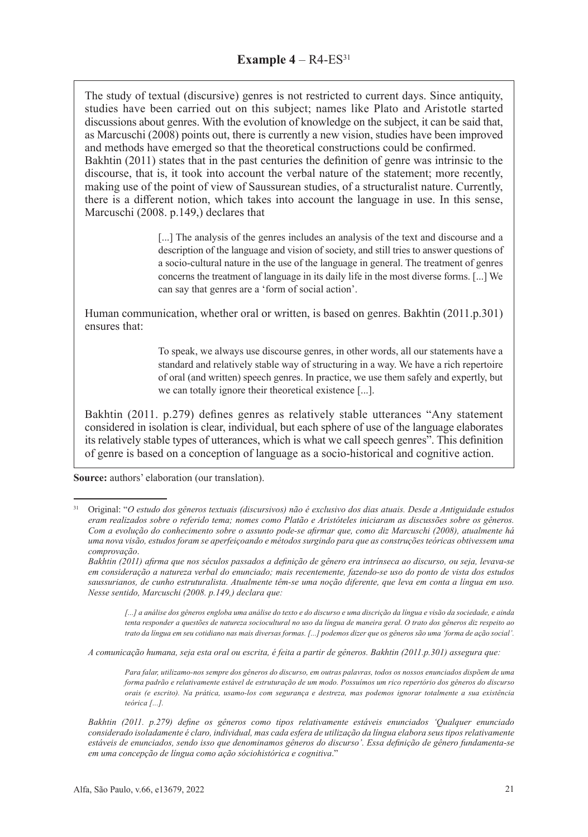The study of textual (discursive) genres is not restricted to current days. Since antiquity, studies have been carried out on this subject; names like Plato and Aristotle started discussions about genres. With the evolution of knowledge on the subject, it can be said that, as Marcuschi (2008) points out, there is currently a new vision, studies have been improved and methods have emerged so that the theoretical constructions could be confirmed. Bakhtin (2011) states that in the past centuries the definition of genre was intrinsic to the discourse, that is, it took into account the verbal nature of the statement; more recently,

making use of the point of view of Saussurean studies, of a structuralist nature. Currently, there is a different notion, which takes into account the language in use. In this sense, Marcuschi (2008. p.149,) declares that

> [...] The analysis of the genres includes an analysis of the text and discourse and a description of the language and vision of society, and still tries to answer questions of a socio-cultural nature in the use of the language in general. The treatment of genres concerns the treatment of language in its daily life in the most diverse forms. [...] We can say that genres are a 'form of social action'.

Human communication, whether oral or written, is based on genres. Bakhtin (2011.p.301) ensures that:

> To speak, we always use discourse genres, in other words, all our statements have a standard and relatively stable way of structuring in a way. We have a rich repertoire of oral (and written) speech genres. In practice, we use them safely and expertly, but we can totally ignore their theoretical existence [...].

Bakhtin (2011. p.279) defines genres as relatively stable utterances "Any statement considered in isolation is clear, individual, but each sphere of use of the language elaborates its relatively stable types of utterances, which is what we call speech genres". This definition of genre is based on a conception of language as a socio-historical and cognitive action.

**Source:** authors' elaboration (our translation).

*[...] a análise dos gêneros engloba uma análise do texto e do discurso e uma discrição da língua e visão da sociedade, e ainda tenta responder a questões de natureza sociocultural no uso da língua de maneira geral. O trato dos gêneros diz respeito ao trato da língua em seu cotidiano nas mais diversas formas. [...] podemos dizer que os gêneros são uma 'forma de ação social'.*

*A comunicação humana, seja esta oral ou escrita, é feita a partir de gêneros. Bakhtin (2011.p.301) assegura que:*

*Para falar, utilizamo-nos sempre dos gêneros do discurso, em outras palavras, todos os nossos enunciados dispõem de uma forma padrão e relativamente estável de estruturação de um modo. Possuímos um rico repertório dos gêneros do discurso orais (e escrito). Na prática, usamo-los com segurança e destreza, mas podemos ignorar totalmente a sua existência teórica [...].*

<sup>31</sup> Original: "*O estudo dos gêneros textuais (discursivos) não é exclusivo dos dias atuais. Desde a Antiguidade estudos*  eram realizados sobre o referido tema; nomes como Platão e Aristóteles iniciaram as discussões sobre os gêneros. *Com a evolução do conhecimento sobre o assunto pode-se afirmar que, como diz Marcuschi (2008), atualmente há uma nova visão, estudos foram se aperfeiçoando e métodos surgindo para que as construções teóricas obtivessem uma comprovação*.

*Bakhtin (2011) afirma que nos séculos passados a definição de gênero era intrínseca ao discurso, ou seja, levava-se em consideração a natureza verbal do enunciado; mais recentemente, fazendo-se uso do ponto de vista dos estudos saussurianos, de cunho estruturalista. Atualmente têm-se uma noção diferente, que leva em conta a língua em uso. Nesse sentido, Marcuschi (2008. p.149,) declara que:*

*Bakhtin (2011. p.279) define os gêneros como tipos relativamente estáveis enunciados 'Qualquer enunciado considerado isoladamente é claro, individual, mas cada esfera de utilização da língua elabora seus tipos relativamente estáveis de enunciados, sendo isso que denominamos gêneros do discurso'. Essa definição de gênero fundamenta-se em uma concepção de língua como ação sóciohistórica e cognitiva*."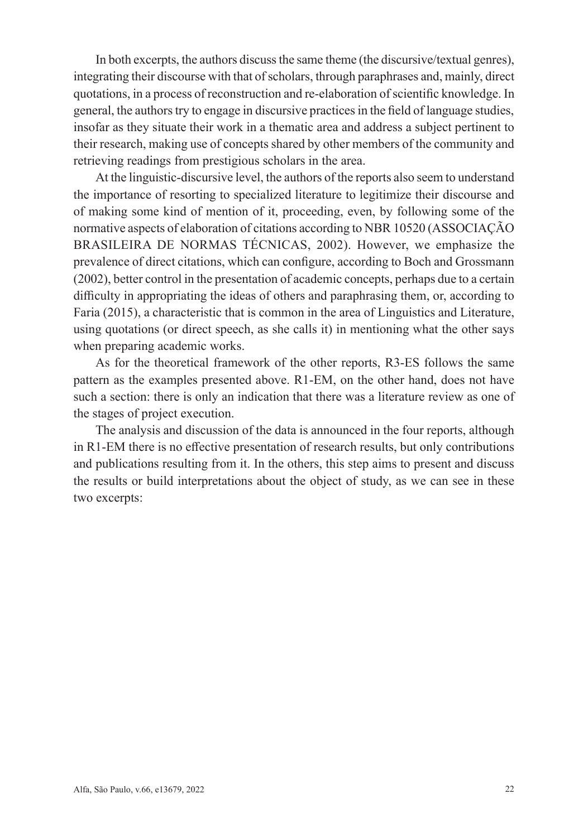In both excerpts, the authors discuss the same theme (the discursive/textual genres), integrating their discourse with that of scholars, through paraphrases and, mainly, direct quotations, in a process of reconstruction and re-elaboration of scientific knowledge. In general, the authors try to engage in discursive practices in the field of language studies, insofar as they situate their work in a thematic area and address a subject pertinent to their research, making use of concepts shared by other members of the community and retrieving readings from prestigious scholars in the area.

At the linguistic-discursive level, the authors of the reports also seem to understand the importance of resorting to specialized literature to legitimize their discourse and of making some kind of mention of it, proceeding, even, by following some of the normative aspects of elaboration of citations according to NBR 10520 (ASSOCIAÇÃO BRASILEIRA DE NORMAS TÉCNICAS, 2002). However, we emphasize the prevalence of direct citations, which can configure, according to Boch and Grossmann (2002), better control in the presentation of academic concepts, perhaps due to a certain difficulty in appropriating the ideas of others and paraphrasing them, or, according to Faria (2015), a characteristic that is common in the area of Linguistics and Literature, using quotations (or direct speech, as she calls it) in mentioning what the other says when preparing academic works.

As for the theoretical framework of the other reports, R3-ES follows the same pattern as the examples presented above. R1-EM, on the other hand, does not have such a section: there is only an indication that there was a literature review as one of the stages of project execution.

The analysis and discussion of the data is announced in the four reports, although in R1-EM there is no effective presentation of research results, but only contributions and publications resulting from it. In the others, this step aims to present and discuss the results or build interpretations about the object of study, as we can see in these two excerpts: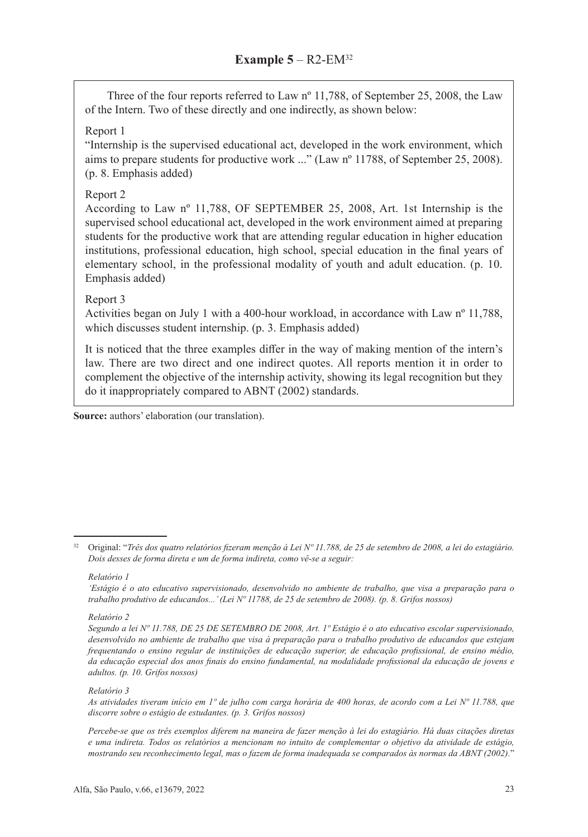Three of the four reports referred to Law nº 11,788, of September 25, 2008, the Law of the Intern. Two of these directly and one indirectly, as shown below:

### Report 1

"Internship is the supervised educational act, developed in the work environment, which aims to prepare students for productive work ..." (Law nº 11788, of September 25, 2008). (p. 8. Emphasis added)

### Report 2

According to Law nº 11,788, OF SEPTEMBER 25, 2008, Art. 1st Internship is the supervised school educational act, developed in the work environment aimed at preparing students for the productive work that are attending regular education in higher education institutions, professional education, high school, special education in the final years of elementary school, in the professional modality of youth and adult education. (p. 10. Emphasis added)

### Report 3

Activities began on July 1 with a 400-hour workload, in accordance with Law nº 11,788, which discusses student internship. (p. 3. Emphasis added)

It is noticed that the three examples differ in the way of making mention of the intern's law. There are two direct and one indirect quotes. All reports mention it in order to complement the objective of the internship activity, showing its legal recognition but they do it inappropriately compared to ABNT (2002) standards.

**Source:** authors' elaboration (our translation).

*Relatório 1*

*Relatório 2*

*Relatório 3*

<sup>32</sup> Original: "*Três dos quatro relatórios fizeram menção à Lei Nº 11.788, de 25 de setembro de 2008, a lei do estagiário. Dois desses de forma direta e um de forma indireta, como vê-se a seguir:*

*<sup>&#</sup>x27;Estágio é o ato educativo supervisionado, desenvolvido no ambiente de trabalho, que visa a preparação para o trabalho produtivo de educandos...' (Lei Nº 11788, de 25 de setembro de 2008). (p. 8. Grifos nossos)*

*Segundo a lei Nº 11.788, DE 25 DE SETEMBRO DE 2008, Art. 1º Estágio é o ato educativo escolar supervisionado, desenvolvido no ambiente de trabalho que visa à preparação para o trabalho produtivo de educandos que estejam frequentando o ensino regular de instituições de educação superior, de educação profissional, de ensino médio, da educação especial dos anos finais do ensino fundamental, na modalidade profissional da educação de jovens e adultos. (p. 10. Grifos nossos)*

*As atividades tiveram início em 1º de julho com carga horária de 400 horas, de acordo com a Lei Nº 11.788, que discorre sobre o estágio de estudantes. (p. 3. Grifos nossos)*

*Percebe-se que os três exemplos diferem na maneira de fazer menção à lei do estagiário. Há duas citações diretas e uma indireta. Todos os relatórios a mencionam no intuito de complementar o objetivo da atividade de estágio, mostrando seu reconhecimento legal, mas o fazem de forma inadequada se comparados às normas da ABNT (2002).*"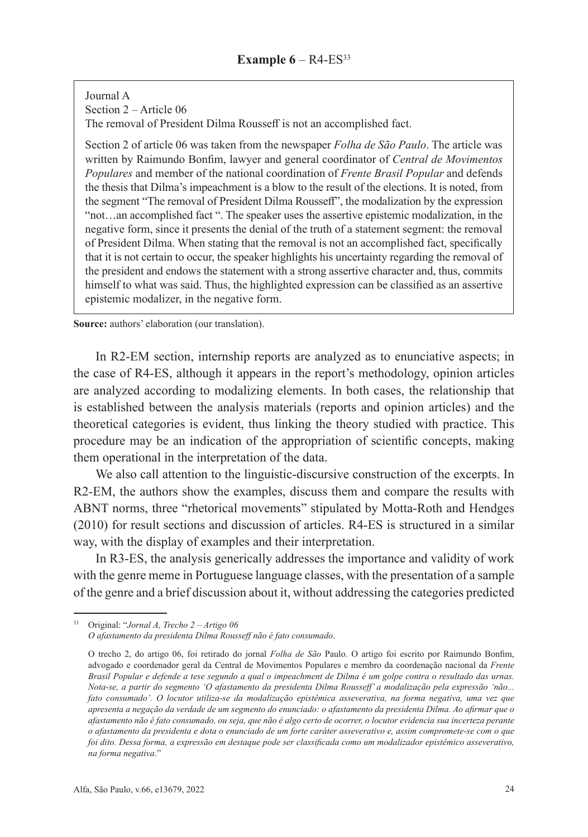Journal A Section 2 – Article 06 The removal of President Dilma Rousseff is not an accomplished fact.

Section 2 of article 06 was taken from the newspaper *Folha de São Paulo*. The article was written by Raimundo Bonfim, lawyer and general coordinator of *Central de Movimentos Populares* and member of the national coordination of *Frente Brasil Popular* and defends the thesis that Dilma's impeachment is a blow to the result of the elections. It is noted, from the segment "The removal of President Dilma Rousseff", the modalization by the expression "not…an accomplished fact ". The speaker uses the assertive epistemic modalization, in the negative form, since it presents the denial of the truth of a statement segment: the removal of President Dilma. When stating that the removal is not an accomplished fact, specifically that it is not certain to occur, the speaker highlights his uncertainty regarding the removal of the president and endows the statement with a strong assertive character and, thus, commits himself to what was said. Thus, the highlighted expression can be classified as an assertive epistemic modalizer, in the negative form.

**Source:** authors' elaboration (our translation).

In R2-EM section, internship reports are analyzed as to enunciative aspects; in the case of R4-ES, although it appears in the report's methodology, opinion articles are analyzed according to modalizing elements. In both cases, the relationship that is established between the analysis materials (reports and opinion articles) and the theoretical categories is evident, thus linking the theory studied with practice. This procedure may be an indication of the appropriation of scientific concepts, making them operational in the interpretation of the data.

We also call attention to the linguistic-discursive construction of the excerpts. In R2-EM, the authors show the examples, discuss them and compare the results with ABNT norms, three "rhetorical movements" stipulated by Motta-Roth and Hendges (2010) for result sections and discussion of articles. R4-ES is structured in a similar way, with the display of examples and their interpretation.

In R3-ES, the analysis generically addresses the importance and validity of work with the genre meme in Portuguese language classes, with the presentation of a sample of the genre and a brief discussion about it, without addressing the categories predicted

<sup>33</sup> Original: "*Jornal A, Trecho 2 – Artigo 06 O afastamento da presidenta Dilma Rousseff não é fato consumado*.

O trecho 2, do artigo 06, foi retirado do jornal *Folha de São* Paulo. O artigo foi escrito por Raimundo Bonfim, advogado e coordenador geral da Central de Movimentos Populares e membro da coordenação nacional da *Frente Brasil Popular e defende a tese segundo a qual o impeachment de Dilma é um golpe contra o resultado das urnas. Nota-se, a partir do segmento 'O afastamento da presidenta Dilma Rousseff' a modalização pela expressão 'não... fato consumado'. O locutor utiliza-se da modalização epistêmica asseverativa, na forma negativa, uma vez que apresenta a negação da verdade de um segmento do enunciado: o afastamento da presidenta Dilma. Ao afirmar que o afastamento não é fato consumado, ou seja, que não é algo certo de ocorrer, o locutor evidencia sua incerteza perante o afastamento da presidenta e dota o enunciado de um forte caráter asseverativo e, assim compromete-se com o que foi dito. Dessa forma, a expressão em destaque pode ser classificada como um modalizador epistêmico asseverativo, na forma negativa*."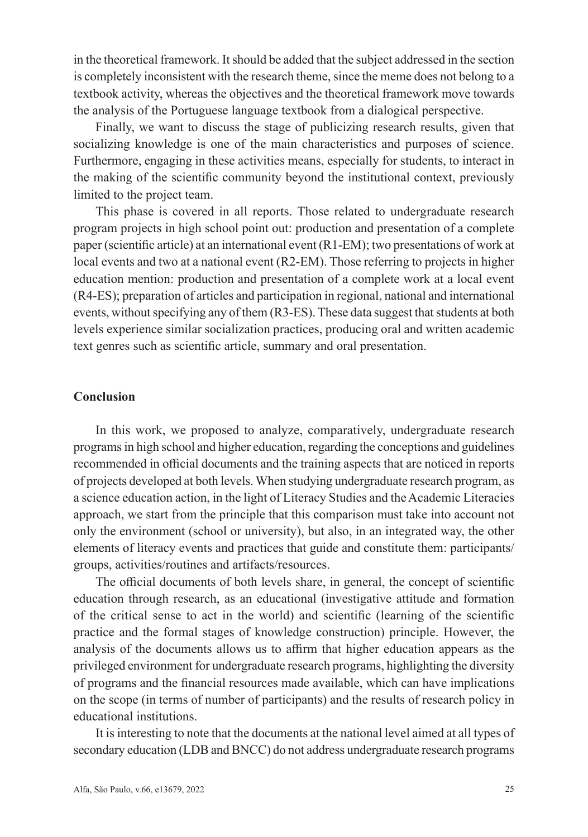in the theoretical framework. It should be added that the subject addressed in the section is completely inconsistent with the research theme, since the meme does not belong to a textbook activity, whereas the objectives and the theoretical framework move towards the analysis of the Portuguese language textbook from a dialogical perspective.

Finally, we want to discuss the stage of publicizing research results, given that socializing knowledge is one of the main characteristics and purposes of science. Furthermore, engaging in these activities means, especially for students, to interact in the making of the scientific community beyond the institutional context, previously limited to the project team.

This phase is covered in all reports. Those related to undergraduate research program projects in high school point out: production and presentation of a complete paper (scientific article) at an international event (R1-EM); two presentations of work at local events and two at a national event (R2-EM). Those referring to projects in higher education mention: production and presentation of a complete work at a local event (R4-ES); preparation of articles and participation in regional, national and international events, without specifying any of them (R3-ES). These data suggest that students at both levels experience similar socialization practices, producing oral and written academic text genres such as scientific article, summary and oral presentation.

## **Conclusion**

In this work, we proposed to analyze, comparatively, undergraduate research programs in high school and higher education, regarding the conceptions and guidelines recommended in official documents and the training aspects that are noticed in reports of projects developed at both levels. When studying undergraduate research program, as a science education action, in the light of Literacy Studies and the Academic Literacies approach, we start from the principle that this comparison must take into account not only the environment (school or university), but also, in an integrated way, the other elements of literacy events and practices that guide and constitute them: participants/ groups, activities/routines and artifacts/resources.

The official documents of both levels share, in general, the concept of scientific education through research, as an educational (investigative attitude and formation of the critical sense to act in the world) and scientific (learning of the scientific practice and the formal stages of knowledge construction) principle. However, the analysis of the documents allows us to affirm that higher education appears as the privileged environment for undergraduate research programs, highlighting the diversity of programs and the financial resources made available, which can have implications on the scope (in terms of number of participants) and the results of research policy in educational institutions.

It is interesting to note that the documents at the national level aimed at all types of secondary education (LDB and BNCC) do not address undergraduate research programs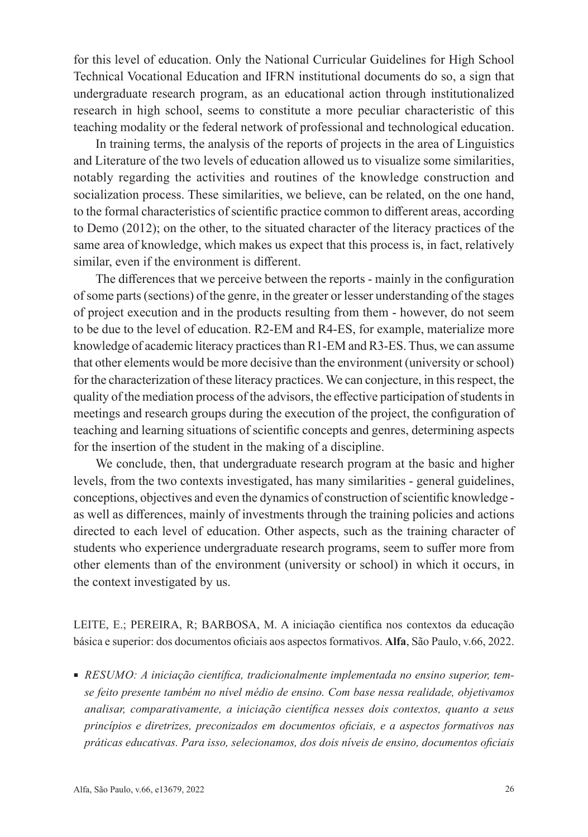for this level of education. Only the National Curricular Guidelines for High School Technical Vocational Education and IFRN institutional documents do so, a sign that undergraduate research program, as an educational action through institutionalized research in high school, seems to constitute a more peculiar characteristic of this teaching modality or the federal network of professional and technological education.

In training terms, the analysis of the reports of projects in the area of Linguistics and Literature of the two levels of education allowed us to visualize some similarities, notably regarding the activities and routines of the knowledge construction and socialization process. These similarities, we believe, can be related, on the one hand, to the formal characteristics of scientific practice common to different areas, according to Demo (2012); on the other, to the situated character of the literacy practices of the same area of knowledge, which makes us expect that this process is, in fact, relatively similar, even if the environment is different.

The differences that we perceive between the reports - mainly in the configuration of some parts (sections) of the genre, in the greater or lesser understanding of the stages of project execution and in the products resulting from them - however, do not seem to be due to the level of education. R2-EM and R4-ES, for example, materialize more knowledge of academic literacy practices than R1-EM and R3-ES. Thus, we can assume that other elements would be more decisive than the environment (university or school) for the characterization of these literacy practices. We can conjecture, in this respect, the quality of the mediation process of the advisors, the effective participation of students in meetings and research groups during the execution of the project, the configuration of teaching and learning situations of scientific concepts and genres, determining aspects for the insertion of the student in the making of a discipline.

We conclude, then, that undergraduate research program at the basic and higher levels, from the two contexts investigated, has many similarities - general guidelines, conceptions, objectives and even the dynamics of construction of scientific knowledge as well as differences, mainly of investments through the training policies and actions directed to each level of education. Other aspects, such as the training character of students who experience undergraduate research programs, seem to suffer more from other elements than of the environment (university or school) in which it occurs, in the context investigated by us.

LEITE, E.; PEREIRA, R; BARBOSA, M. A iniciação científica nos contextos da educação básica e superior: dos documentos oficiais aos aspectos formativos. **Alfa**, São Paulo, v.66, 2022.

■ *RESUMO: A iniciação científica, tradicionalmente implementada no ensino superior, temse feito presente também no nível médio de ensino. Com base nessa realidade, objetivamos analisar, comparativamente, a iniciação científica nesses dois contextos, quanto a seus princípios e diretrizes, preconizados em documentos oficiais, e a aspectos formativos nas práticas educativas. Para isso, selecionamos, dos dois níveis de ensino, documentos oficiais*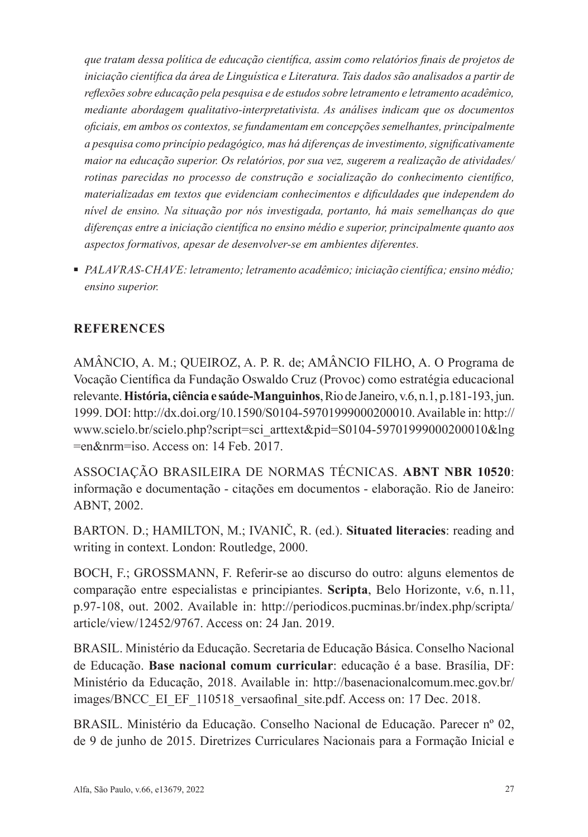*que tratam dessa política de educação científica, assim como relatórios finais de projetos de iniciação científica da área de Linguística e Literatura. Tais dados são analisados a partir de reflexões sobre educação pela pesquisa e de estudos sobre letramento e letramento acadêmico, mediante abordagem qualitativo-interpretativista. As análises indicam que os documentos oficiais, em ambos os contextos, se fundamentam em concepções semelhantes, principalmente a pesquisa como princípio pedagógico, mas há diferenças de investimento, significativamente maior na educação superior. Os relatórios, por sua vez, sugerem a realização de atividades/ rotinas parecidas no processo de construção e socialização do conhecimento científico, materializadas em textos que evidenciam conhecimentos e dificuldades que independem do nível de ensino. Na situação por nós investigada, portanto, há mais semelhanças do que diferenças entre a iniciação científica no ensino médio e superior, principalmente quanto aos aspectos formativos, apesar de desenvolver-se em ambientes diferentes.*

■ *PALAVRAS-CHAVE: letramento; letramento acadêmico; iniciação científica; ensino médio; ensino superior.*

# **REFERENCES**

AMÂNCIO, A. M.; QUEIROZ, A. P. R. de; AMÂNCIO FILHO, A. O Programa de Vocação Científica da Fundação Oswaldo Cruz (Provoc) como estratégia educacional relevante. **História, ciência e saúde-Manguinhos**, Rio de Janeiro, v.6, n.1, p.181-193, jun. 1999. DOI: http://dx.doi.org/10.1590/S0104-59701999000200010. Available in: http:// www.scielo.br/scielo.php?script=sci\_arttext&pid=S0104-59701999000200010&lng =en&nrm=iso. Access on: 14 Feb. 2017.

ASSOCIAÇÃO BRASILEIRA DE NORMAS TÉCNICAS. **ABNT NBR 10520**: informação e documentação - citações em documentos - elaboração. Rio de Janeiro: ABNT, 2002.

BARTON. D.; HAMILTON, M.; IVANIČ, R. (ed.). **Situated literacies**: reading and writing in context. London: Routledge, 2000.

BOCH, F.; GROSSMANN, F. Referir-se ao discurso do outro: alguns elementos de comparação entre especialistas e principiantes. **Scripta**, Belo Horizonte, v.6, n.11, p.97-108, out. 2002. Available in: http://periodicos.pucminas.br/index.php/scripta/ article/view/12452/9767. Access on: 24 Jan. 2019.

BRASIL. Ministério da Educação. Secretaria de Educação Básica. Conselho Nacional de Educação. **Base nacional comum curricular**: educação é a base. Brasília, DF: Ministério da Educação, 2018. Available in: http://basenacionalcomum.mec.gov.br/ images/BNCC\_EI\_EF\_110518\_versaofinal\_site.pdf. Access on: 17 Dec. 2018.

BRASIL. Ministério da Educação. Conselho Nacional de Educação. Parecer nº 02, de 9 de junho de 2015. Diretrizes Curriculares Nacionais para a Formação Inicial e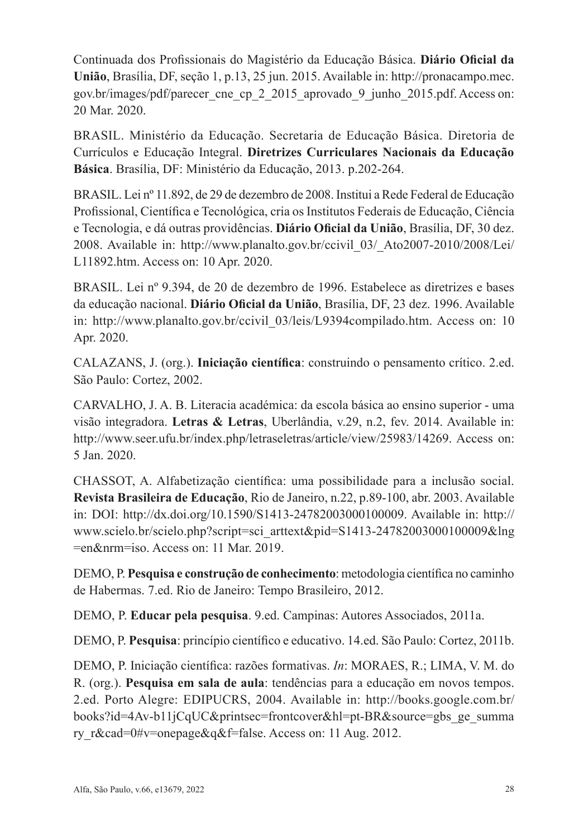Continuada dos Profissionais do Magistério da Educação Básica. **Diário Oficial da União**, Brasília, DF, seção 1, p.13, 25 jun. 2015. Available in: http://pronacampo.mec. gov.br/images/pdf/parecer\_cne\_cp\_2\_2015\_aprovado\_9\_junho\_2015.pdf. Access on: 20 Mar. 2020.

BRASIL. Ministério da Educação. Secretaria de Educação Básica. Diretoria de Currículos e Educação Integral. **Diretrizes Curriculares Nacionais da Educação Básica**. Brasília, DF: Ministério da Educação, 2013. p.202-264.

BRASIL. Lei nº 11.892, de 29 de dezembro de 2008. Institui a Rede Federal de Educação Profissional, Científica e Tecnológica, cria os Institutos Federais de Educação, Ciência e Tecnologia, e dá outras providências. **Diário Oficial da União**, Brasília, DF, 30 dez. 2008. Available in: http://www.planalto.gov.br/ccivil\_03/\_Ato2007-2010/2008/Lei/ L11892.htm. Access on: 10 Apr. 2020.

BRASIL. Lei nº 9.394, de 20 de dezembro de 1996. Estabelece as diretrizes e bases da educação nacional. **Diário Oficial da União**, Brasília, DF, 23 dez. 1996. Available in: http://www.planalto.gov.br/ccivil\_03/leis/L9394compilado.htm. Access on: 10 Apr. 2020.

CALAZANS, J. (org.). **Iniciação científica**: construindo o pensamento crítico. 2.ed. São Paulo: Cortez, 2002.

CARVALHO, J. A. B. Literacia académica: da escola básica ao ensino superior - uma visão integradora. **Letras & Letras**, Uberlândia, v.29, n.2, fev. 2014. Available in: http://www.seer.ufu.br/index.php/letraseletras/article/view/25983/14269. Access on: 5 Jan. 2020.

CHASSOT, A. Alfabetização científica: uma possibilidade para a inclusão social. **Revista Brasileira de Educação**, Rio de Janeiro, n.22, p.89-100, abr. 2003. Available in: DOI: http://dx.doi.org/10.1590/S1413-24782003000100009. Available in: http:// www.scielo.br/scielo.php?script=sci\_arttext&pid=S1413-24782003000100009&lng =en&nrm=iso. Access on: 11 Mar. 2019.

DEMO, P. **Pesquisa e construção de conhecimento**: metodologia científica no caminho de Habermas. 7.ed. Rio de Janeiro: Tempo Brasileiro, 2012.

DEMO, P. **Educar pela pesquisa**. 9.ed. Campinas: Autores Associados, 2011a.

DEMO, P. **Pesquisa**: princípio científico e educativo. 14.ed. São Paulo: Cortez, 2011b.

DEMO, P. Iniciação científica: razões formativas. *In*: MORAES, R.; LIMA, V. M. do R. (org.). **Pesquisa em sala de aula**: tendências para a educação em novos tempos. 2.ed. Porto Alegre: EDIPUCRS, 2004. Available in: http://books.google.com.br/ books?id=4Av-b11jCqUC&printsec=frontcover&hl=pt-BR&source=gbs\_ge\_summa ry r&cad=0#v=onepage&q&f=false. Access on: 11 Aug. 2012.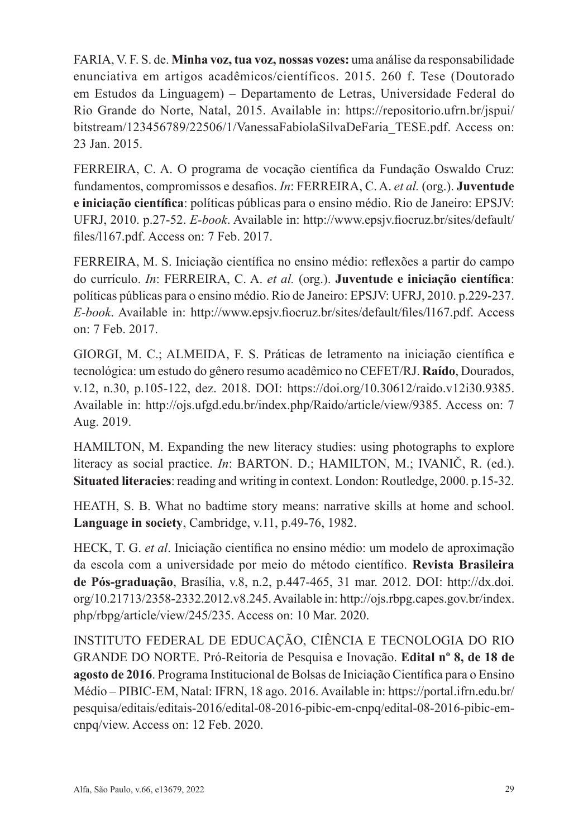FARIA, V. F. S. de. **Minha voz, tua voz, nossas vozes:** uma análise da responsabilidade enunciativa em artigos acadêmicos/científicos. 2015. 260 f. Tese (Doutorado em Estudos da Linguagem) – Departamento de Letras, Universidade Federal do Rio Grande do Norte, Natal, 2015. Available in: https://repositorio.ufrn.br/jspui/ bitstream/123456789/22506/1/VanessaFabiolaSilvaDeFaria\_TESE.pdf. Access on: 23 Jan. 2015.

FERREIRA, C. A. O programa de vocação científica da Fundação Oswaldo Cruz: fundamentos, compromissos e desafios. *In*: FERREIRA, C. A. *et al.* (org.). **Juventude e iniciação científica**: políticas públicas para o ensino médio. Rio de Janeiro: EPSJV: UFRJ, 2010. p.27-52. *E-book*. Available in: http://www.epsjv.fiocruz.br/sites/default/ files/l167.pdf. Access on: 7 Feb. 2017.

FERREIRA, M. S. Iniciação científica no ensino médio: reflexões a partir do campo do currículo. *In*: FERREIRA, C. A. *et al.* (org.). **Juventude e iniciação científica**: políticas públicas para o ensino médio. Rio de Janeiro: EPSJV: UFRJ, 2010. p.229-237. *E-book*. Available in: http://www.epsjv.fiocruz.br/sites/default/files/l167.pdf. Access on: 7 Feb. 2017.

GIORGI, M. C.; ALMEIDA, F. S. Práticas de letramento na iniciação científica e tecnológica: um estudo do gênero resumo acadêmico no CEFET/RJ. **Raído**, Dourados, v.12, n.30, p.105-122, dez. 2018. DOI: https://doi.org/10.30612/raido.v12i30.9385. Available in: http://ojs.ufgd.edu.br/index.php/Raido/article/view/9385. Access on: 7 Aug. 2019.

HAMILTON, M. Expanding the new literacy studies: using photographs to explore literacy as social practice. *In*: BARTON. D.; HAMILTON, M.; IVANIČ, R. (ed.). **Situated literacies**: reading and writing in context. London: Routledge, 2000. p.15-32.

HEATH, S. B. What no badtime story means: narrative skills at home and school. **Language in society**, Cambridge, v.11, p.49-76, 1982.

HECK, T. G. *et al*. Iniciação científica no ensino médio: um modelo de aproximação da escola com a universidade por meio do método científico. **Revista Brasileira de Pós-graduação**, Brasília, v.8, n.2, p.447-465, 31 mar. 2012. DOI: http://dx.doi. org/10.21713/2358-2332.2012.v8.245. Available in: http://ojs.rbpg.capes.gov.br/index. php/rbpg/article/view/245/235. Access on: 10 Mar. 2020.

INSTITUTO FEDERAL DE EDUCAÇÃO, CIÊNCIA E TECNOLOGIA DO RIO GRANDE DO NORTE. Pró-Reitoria de Pesquisa e Inovação. **Edital nº 8, de 18 de agosto de 2016**. Programa Institucional de Bolsas de Iniciação Científica para o Ensino Médio – PIBIC-EM, Natal: IFRN, 18 ago. 2016. Available in: https://portal.ifrn.edu.br/ pesquisa/editais/editais-2016/edital-08-2016-pibic-em-cnpq/edital-08-2016-pibic-emcnpq/view. Access on: 12 Feb. 2020.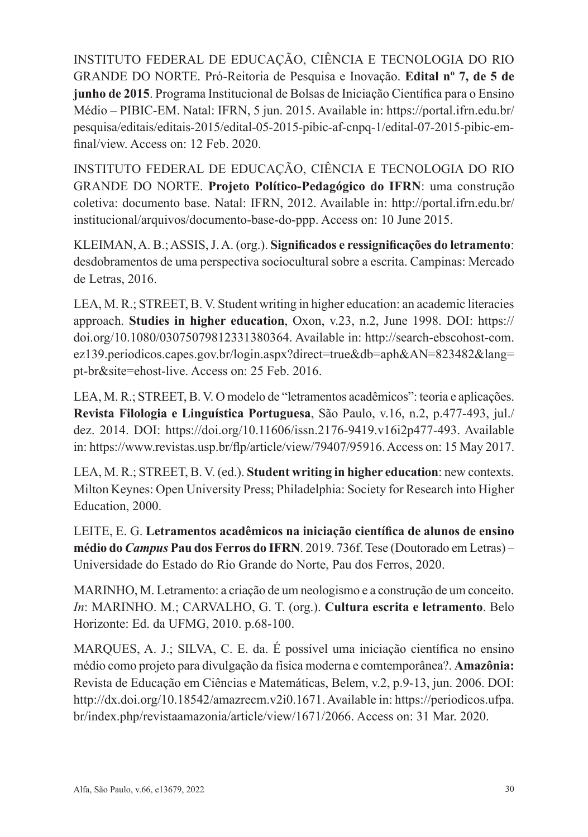INSTITUTO FEDERAL DE EDUCAÇÃO, CIÊNCIA E TECNOLOGIA DO RIO GRANDE DO NORTE. Pró-Reitoria de Pesquisa e Inovação. **Edital nº 7, de 5 de junho de 2015**. Programa Institucional de Bolsas de Iniciação Científica para o Ensino Médio – PIBIC-EM. Natal: IFRN, 5 jun. 2015. Available in: https://portal.ifrn.edu.br/ pesquisa/editais/editais-2015/edital-05-2015-pibic-af-cnpq-1/edital-07-2015-pibic-emfinal/view. Access on: 12 Feb. 2020.

INSTITUTO FEDERAL DE EDUCAÇÃO, CIÊNCIA E TECNOLOGIA DO RIO GRANDE DO NORTE. **Projeto Político-Pedagógico do IFRN**: uma construção coletiva: documento base. Natal: IFRN, 2012. Available in: http://portal.ifrn.edu.br/ institucional/arquivos/documento-base-do-ppp. Access on: 10 June 2015.

KLEIMAN, A. B.; ASSIS, J. A. (org.). **Significados e ressignificações do letramento**: desdobramentos de uma perspectiva sociocultural sobre a escrita. Campinas: Mercado de Letras, 2016.

LEA, M. R.; STREET, B. V. Student writing in higher education: an academic literacies approach. **Studies in higher education**, Oxon, v.23, n.2, June 1998. DOI: https:// doi.org/10.1080/03075079812331380364. Available in: http://search-ebscohost-com. ez139.periodicos.capes.gov.br/login.aspx?direct=true&db=aph&AN=823482&lang= pt-br&site=ehost-live. Access on: 25 Feb. 2016.

LEA, M. R.; STREET, B. V. O modelo de "letramentos acadêmicos": teoria e aplicações. **Revista Filologia e Linguística Portuguesa**, São Paulo, v.16, n.2, p.477-493, jul./ dez. 2014. DOI: https://doi.org/10.11606/issn.2176-9419.v16i2p477-493. Available in: https://www.revistas.usp.br/flp/article/view/79407/95916. Access on: 15 May 2017.

LEA, M. R.; STREET, B. V. (ed.). **Student writing in higher education**: new contexts. Milton Keynes: Open University Press; Philadelphia: Society for Research into Higher Education, 2000.

LEITE, E. G. **Letramentos acadêmicos na iniciação científica de alunos de ensino médio do** *Campus* **Pau dos Ferros do IFRN**. 2019. 736f. Tese (Doutorado em Letras) – Universidade do Estado do Rio Grande do Norte, Pau dos Ferros, 2020.

MARINHO, M. Letramento: a criação de um neologismo e a construção de um conceito. *In*: MARINHO. M.; CARVALHO, G. T. (org.). **Cultura escrita e letramento**. Belo Horizonte: Ed. da UFMG, 2010. p.68-100.

MARQUES, A. J.; SILVA, C. E. da. É possível uma iniciação científica no ensino médio como projeto para divulgação da física moderna e comtemporânea?. **Amazônia:**  Revista de Educação em Ciências e Matemáticas, Belem, v.2, p.9-13, jun. 2006. DOI: http://dx.doi.org/10.18542/amazrecm.v2i0.1671. Available in: https://periodicos.ufpa. br/index.php/revistaamazonia/article/view/1671/2066. Access on: 31 Mar. 2020.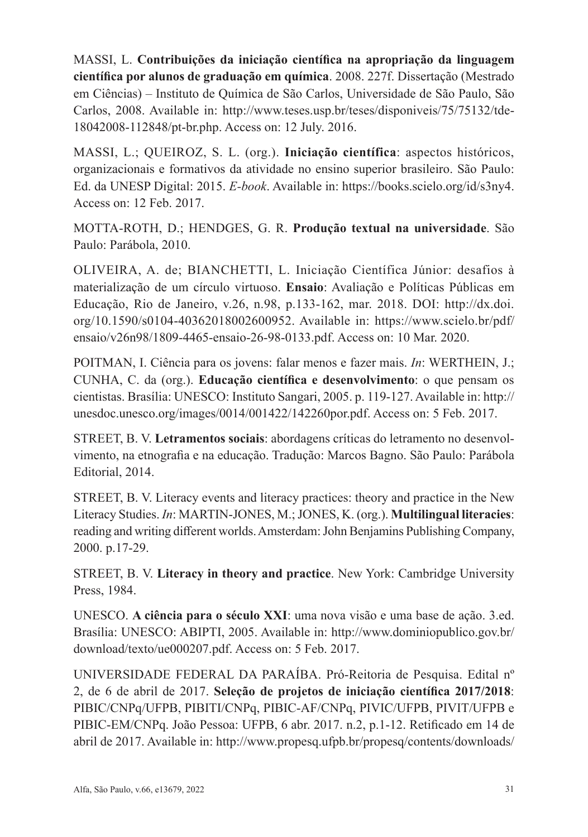MASSI, L. **Contribuições da iniciação científica na apropriação da linguagem científica por alunos de graduação em química**. 2008. 227f. Dissertação (Mestrado em Ciências) – Instituto de Química de São Carlos, Universidade de São Paulo, São Carlos, 2008. Available in: http://www.teses.usp.br/teses/disponiveis/75/75132/tde-18042008-112848/pt-br.php. Access on: 12 July. 2016.

MASSI, L.; QUEIROZ, S. L. (org.). **Iniciação científica**: aspectos históricos, organizacionais e formativos da atividade no ensino superior brasileiro. São Paulo: Ed. da UNESP Digital: 2015. *E-book*. Available in: https://books.scielo.org/id/s3ny4. Access on: 12 Feb. 2017.

MOTTA-ROTH, D.; HENDGES, G. R. **Produção textual na universidade**. São Paulo: Parábola, 2010.

OLIVEIRA, A. de; BIANCHETTI, L. Iniciação Científica Júnior: desafios à materialização de um círculo virtuoso. **Ensaio**: Avaliação e Políticas Públicas em Educação, Rio de Janeiro, v.26, n.98, p.133-162, mar. 2018. DOI: http://dx.doi. org/10.1590/s0104-40362018002600952. Available in: https://www.scielo.br/pdf/ ensaio/v26n98/1809-4465-ensaio-26-98-0133.pdf. Access on: 10 Mar. 2020.

POITMAN, I. Ciência para os jovens: falar menos e fazer mais. *In*: WERTHEIN, J.; CUNHA, C. da (org.). **Educação científica e desenvolvimento**: o que pensam os cientistas. Brasília: UNESCO: Instituto Sangari, 2005. p. 119-127. Available in: http:// unesdoc.unesco.org/images/0014/001422/142260por.pdf. Access on: 5 Feb. 2017.

STREET, B. V. **Letramentos sociais**: abordagens críticas do letramento no desenvolvimento, na etnografia e na educação. Tradução: Marcos Bagno. São Paulo: Parábola Editorial, 2014.

STREET, B. V. Literacy events and literacy practices: theory and practice in the New Literacy Studies. *In*: MARTIN-JONES, M.; JONES, K. (org.). **Multilingual literacies**: reading and writing different worlds. Amsterdam: John Benjamins Publishing Company, 2000. p.17-29.

STREET, B. V. **Literacy in theory and practice**. New York: Cambridge University Press, 1984.

UNESCO. **A ciência para o século XXI**: uma nova visão e uma base de ação. 3.ed. Brasília: UNESCO: ABIPTI, 2005. Available in: http://www.dominiopublico.gov.br/ download/texto/ue000207.pdf. Access on: 5 Feb. 2017.

UNIVERSIDADE FEDERAL DA PARAÍBA. Pró-Reitoria de Pesquisa. Edital nº 2, de 6 de abril de 2017. **Seleção de projetos de iniciação científica 2017/2018**: PIBIC/CNPq/UFPB, PIBITI/CNPq, PIBIC-AF/CNPq, PIVIC/UFPB, PIVIT/UFPB e PIBIC-EM/CNPq. João Pessoa: UFPB, 6 abr. 2017. n.2, p.1-12. Retificado em 14 de abril de 2017. Available in: http://www.propesq.ufpb.br/propesq/contents/downloads/